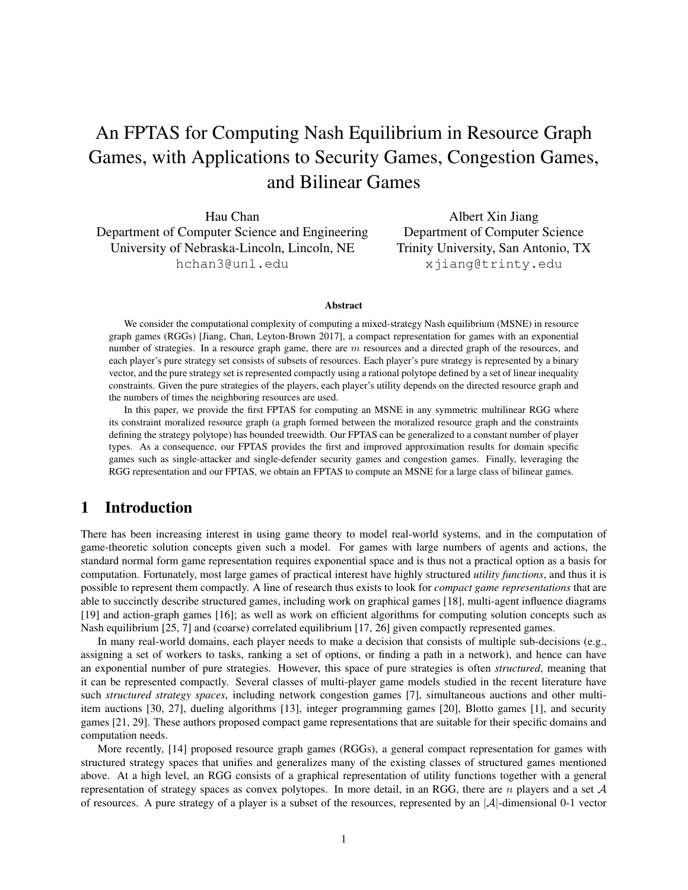# An FPTAS for Computing Nash Equilibrium in Resource Graph Games, with Applications to Security Games, Congestion Games, and Bilinear Games

Hau Chan Department of Computer Science and Engineering University of Nebraska-Lincoln, Lincoln, NE hchan3@unl.edu

Albert Xin Jiang Department of Computer Science Trinity University, San Antonio, TX xjiang@trinty.edu

#### Abstract

We consider the computational complexity of computing a mixed-strategy Nash equilibrium (MSNE) in resource graph games (RGGs) [Jiang, Chan, Leyton-Brown 2017], a compact representation for games with an exponential number of strategies. In a resource graph game, there are m resources and a directed graph of the resources, and each player's pure strategy set consists of subsets of resources. Each player's pure strategy is represented by a binary vector, and the pure strategy set is represented compactly using a rational polytope defined by a set of linear inequality constraints. Given the pure strategies of the players, each player's utility depends on the directed resource graph and the numbers of times the neighboring resources are used.

In this paper, we provide the first FPTAS for computing an MSNE in any symmetric multilinear RGG where its constraint moralized resource graph (a graph formed between the moralized resource graph and the constraints defining the strategy polytope) has bounded treewidth. Our FPTAS can be generalized to a constant number of player types. As a consequence, our FPTAS provides the first and improved approximation results for domain specific games such as single-attacker and single-defender security games and congestion games. Finally, leveraging the RGG representation and our FPTAS, we obtain an FPTAS to compute an MSNE for a large class of bilinear games.

# 1 Introduction

There has been increasing interest in using game theory to model real-world systems, and in the computation of game-theoretic solution concepts given such a model. For games with large numbers of agents and actions, the standard normal form game representation requires exponential space and is thus not a practical option as a basis for computation. Fortunately, most large games of practical interest have highly structured *utility functions*, and thus it is possible to represent them compactly. A line of research thus exists to look for *compact game representations* that are able to succinctly describe structured games, including work on graphical games [18], multi-agent influence diagrams [19] and action-graph games [16]; as well as work on efficient algorithms for computing solution concepts such as Nash equilibrium [25, 7] and (coarse) correlated equilibrium [17, 26] given compactly represented games.

In many real-world domains, each player needs to make a decision that consists of multiple sub-decisions (e.g., assigning a set of workers to tasks, ranking a set of options, or finding a path in a network), and hence can have an exponential number of pure strategies. However, this space of pure strategies is often *structured*, meaning that it can be represented compactly. Several classes of multi-player game models studied in the recent literature have such *structured strategy spaces*, including network congestion games [7], simultaneous auctions and other multiitem auctions [30, 27], dueling algorithms [13], integer programming games [20], Blotto games [1], and security games [21, 29]. These authors proposed compact game representations that are suitable for their specific domains and computation needs.

More recently, [14] proposed resource graph games (RGGs), a general compact representation for games with structured strategy spaces that unifies and generalizes many of the existing classes of structured games mentioned above. At a high level, an RGG consists of a graphical representation of utility functions together with a general representation of strategy spaces as convex polytopes. In more detail, in an RGG, there are  $n$  players and a set  $A$ of resources. A pure strategy of a player is a subset of the resources, represented by an  $|\mathcal{A}|$ -dimensional 0-1 vector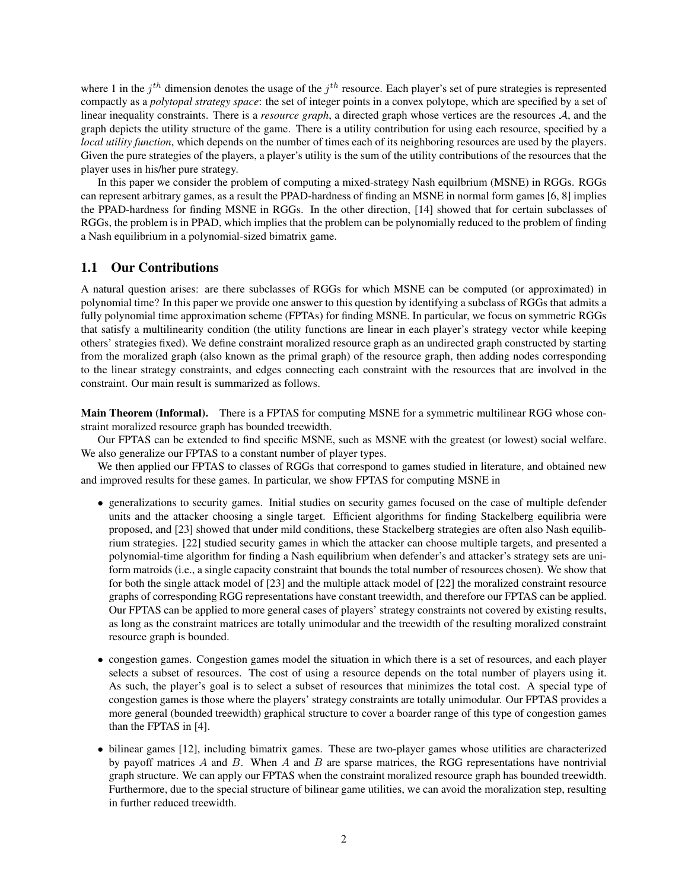where 1 in the  $j<sup>th</sup>$  dimension denotes the usage of the  $j<sup>th</sup>$  resource. Each player's set of pure strategies is represented compactly as a *polytopal strategy space*: the set of integer points in a convex polytope, which are specified by a set of linear inequality constraints. There is a *resource graph*, a directed graph whose vertices are the resources A, and the graph depicts the utility structure of the game. There is a utility contribution for using each resource, specified by a *local utility function*, which depends on the number of times each of its neighboring resources are used by the players. Given the pure strategies of the players, a player's utility is the sum of the utility contributions of the resources that the player uses in his/her pure strategy.

In this paper we consider the problem of computing a mixed-strategy Nash equilbrium (MSNE) in RGGs. RGGs can represent arbitrary games, as a result the PPAD-hardness of finding an MSNE in normal form games [6, 8] implies the PPAD-hardness for finding MSNE in RGGs. In the other direction, [14] showed that for certain subclasses of RGGs, the problem is in PPAD, which implies that the problem can be polynomially reduced to the problem of finding a Nash equilibrium in a polynomial-sized bimatrix game.

# 1.1 Our Contributions

A natural question arises: are there subclasses of RGGs for which MSNE can be computed (or approximated) in polynomial time? In this paper we provide one answer to this question by identifying a subclass of RGGs that admits a fully polynomial time approximation scheme (FPTAs) for finding MSNE. In particular, we focus on symmetric RGGs that satisfy a multilinearity condition (the utility functions are linear in each player's strategy vector while keeping others' strategies fixed). We define constraint moralized resource graph as an undirected graph constructed by starting from the moralized graph (also known as the primal graph) of the resource graph, then adding nodes corresponding to the linear strategy constraints, and edges connecting each constraint with the resources that are involved in the constraint. Our main result is summarized as follows.

Main Theorem (Informal). There is a FPTAS for computing MSNE for a symmetric multilinear RGG whose constraint moralized resource graph has bounded treewidth.

Our FPTAS can be extended to find specific MSNE, such as MSNE with the greatest (or lowest) social welfare. We also generalize our FPTAS to a constant number of player types.

We then applied our FPTAS to classes of RGGs that correspond to games studied in literature, and obtained new and improved results for these games. In particular, we show FPTAS for computing MSNE in

- generalizations to security games. Initial studies on security games focused on the case of multiple defender units and the attacker choosing a single target. Efficient algorithms for finding Stackelberg equilibria were proposed, and [23] showed that under mild conditions, these Stackelberg strategies are often also Nash equilibrium strategies. [22] studied security games in which the attacker can choose multiple targets, and presented a polynomial-time algorithm for finding a Nash equilibrium when defender's and attacker's strategy sets are uniform matroids (i.e., a single capacity constraint that bounds the total number of resources chosen). We show that for both the single attack model of [23] and the multiple attack model of [22] the moralized constraint resource graphs of corresponding RGG representations have constant treewidth, and therefore our FPTAS can be applied. Our FPTAS can be applied to more general cases of players' strategy constraints not covered by existing results, as long as the constraint matrices are totally unimodular and the treewidth of the resulting moralized constraint resource graph is bounded.
- congestion games. Congestion games model the situation in which there is a set of resources, and each player selects a subset of resources. The cost of using a resource depends on the total number of players using it. As such, the player's goal is to select a subset of resources that minimizes the total cost. A special type of congestion games is those where the players' strategy constraints are totally unimodular. Our FPTAS provides a more general (bounded treewidth) graphical structure to cover a boarder range of this type of congestion games than the FPTAS in [4].
- bilinear games [12], including bimatrix games. These are two-player games whose utilities are characterized by payoff matrices  $A$  and  $B$ . When  $A$  and  $B$  are sparse matrices, the RGG representations have nontrivial graph structure. We can apply our FPTAS when the constraint moralized resource graph has bounded treewidth. Furthermore, due to the special structure of bilinear game utilities, we can avoid the moralization step, resulting in further reduced treewidth.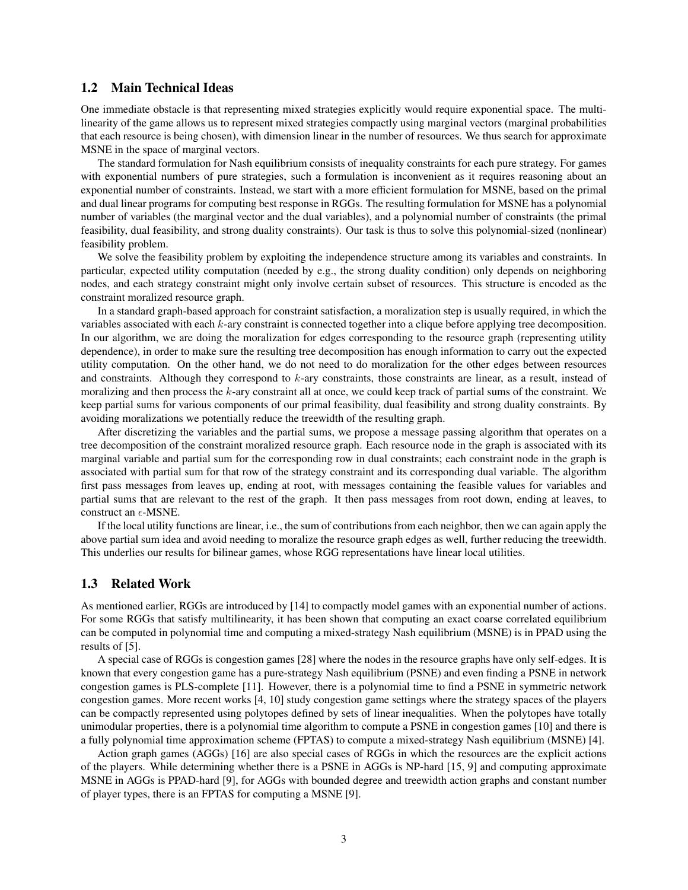# 1.2 Main Technical Ideas

One immediate obstacle is that representing mixed strategies explicitly would require exponential space. The multilinearity of the game allows us to represent mixed strategies compactly using marginal vectors (marginal probabilities that each resource is being chosen), with dimension linear in the number of resources. We thus search for approximate MSNE in the space of marginal vectors.

The standard formulation for Nash equilibrium consists of inequality constraints for each pure strategy. For games with exponential numbers of pure strategies, such a formulation is inconvenient as it requires reasoning about an exponential number of constraints. Instead, we start with a more efficient formulation for MSNE, based on the primal and dual linear programs for computing best response in RGGs. The resulting formulation for MSNE has a polynomial number of variables (the marginal vector and the dual variables), and a polynomial number of constraints (the primal feasibility, dual feasibility, and strong duality constraints). Our task is thus to solve this polynomial-sized (nonlinear) feasibility problem.

We solve the feasibility problem by exploiting the independence structure among its variables and constraints. In particular, expected utility computation (needed by e.g., the strong duality condition) only depends on neighboring nodes, and each strategy constraint might only involve certain subset of resources. This structure is encoded as the constraint moralized resource graph.

In a standard graph-based approach for constraint satisfaction, a moralization step is usually required, in which the variables associated with each k-ary constraint is connected together into a clique before applying tree decomposition. In our algorithm, we are doing the moralization for edges corresponding to the resource graph (representing utility dependence), in order to make sure the resulting tree decomposition has enough information to carry out the expected utility computation. On the other hand, we do not need to do moralization for the other edges between resources and constraints. Although they correspond to  $k$ -ary constraints, those constraints are linear, as a result, instead of moralizing and then process the  $k$ -ary constraint all at once, we could keep track of partial sums of the constraint. We keep partial sums for various components of our primal feasibility, dual feasibility and strong duality constraints. By avoiding moralizations we potentially reduce the treewidth of the resulting graph.

After discretizing the variables and the partial sums, we propose a message passing algorithm that operates on a tree decomposition of the constraint moralized resource graph. Each resource node in the graph is associated with its marginal variable and partial sum for the corresponding row in dual constraints; each constraint node in the graph is associated with partial sum for that row of the strategy constraint and its corresponding dual variable. The algorithm first pass messages from leaves up, ending at root, with messages containing the feasible values for variables and partial sums that are relevant to the rest of the graph. It then pass messages from root down, ending at leaves, to construct an  $\epsilon$ -MSNE.

If the local utility functions are linear, i.e., the sum of contributions from each neighbor, then we can again apply the above partial sum idea and avoid needing to moralize the resource graph edges as well, further reducing the treewidth. This underlies our results for bilinear games, whose RGG representations have linear local utilities.

# 1.3 Related Work

As mentioned earlier, RGGs are introduced by [14] to compactly model games with an exponential number of actions. For some RGGs that satisfy multilinearity, it has been shown that computing an exact coarse correlated equilibrium can be computed in polynomial time and computing a mixed-strategy Nash equilibrium (MSNE) is in PPAD using the results of [5].

A special case of RGGs is congestion games [28] where the nodes in the resource graphs have only self-edges. It is known that every congestion game has a pure-strategy Nash equilibrium (PSNE) and even finding a PSNE in network congestion games is PLS-complete [11]. However, there is a polynomial time to find a PSNE in symmetric network congestion games. More recent works [4, 10] study congestion game settings where the strategy spaces of the players can be compactly represented using polytopes defined by sets of linear inequalities. When the polytopes have totally unimodular properties, there is a polynomial time algorithm to compute a PSNE in congestion games [10] and there is a fully polynomial time approximation scheme (FPTAS) to compute a mixed-strategy Nash equilibrium (MSNE) [4].

Action graph games (AGGs) [16] are also special cases of RGGs in which the resources are the explicit actions of the players. While determining whether there is a PSNE in AGGs is NP-hard [15, 9] and computing approximate MSNE in AGGs is PPAD-hard [9], for AGGs with bounded degree and treewidth action graphs and constant number of player types, there is an FPTAS for computing a MSNE [9].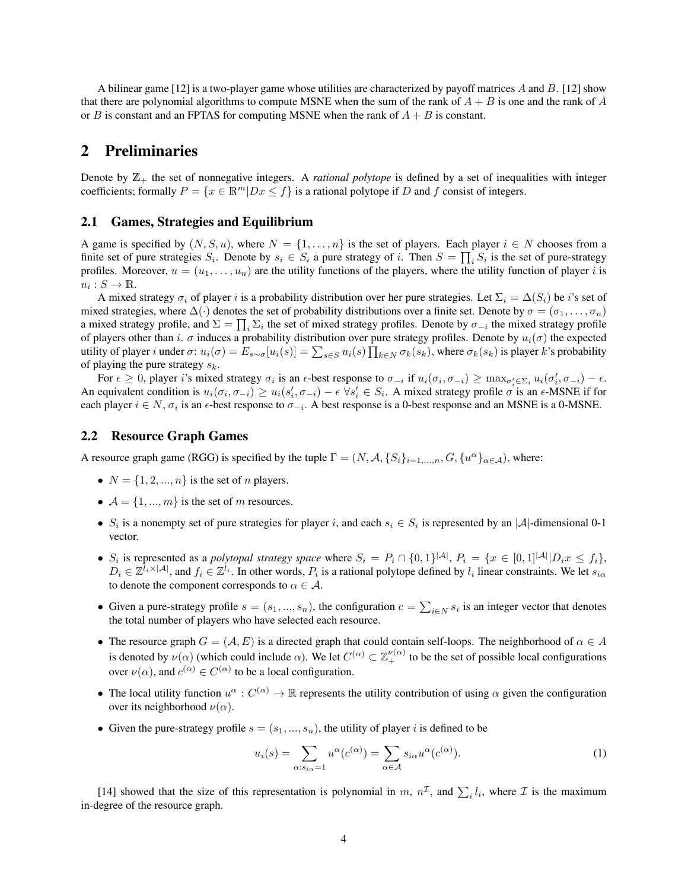A bilinear game [12] is a two-player game whose utilities are characterized by payoff matrices A and B. [12] show that there are polynomial algorithms to compute MSNE when the sum of the rank of  $A + B$  is one and the rank of A or B is constant and an FPTAS for computing MSNE when the rank of  $A + B$  is constant.

# 2 Preliminaries

Denote by  $\mathbb{Z}_+$  the set of nonnegative integers. A *rational polytope* is defined by a set of inequalities with integer coefficients; formally  $P = \{x \in \mathbb{R}^m | Dx \leq f\}$  is a rational polytope if D and f consist of integers.

## 2.1 Games, Strategies and Equilibrium

A game is specified by  $(N, S, u)$ , where  $N = \{1, \ldots, n\}$  is the set of players. Each player  $i \in N$  chooses from a finite set of pure strategies  $S_i$ . Denote by  $s_i \in S_i$  a pure strategy of i. Then  $S = \prod_i S_i$  is the set of pure-strategy profiles. Moreover,  $u = (u_1, \ldots, u_n)$  are the utility functions of the players, where the utility function of player i is  $u_i: S \to \mathbb{R}$ .

A mixed strategy  $\sigma_i$  of player i is a probability distribution over her pure strategies. Let  $\Sigma_i = \Delta(S_i)$  be i's set of mixed strategies, where  $\Delta(\cdot)$  denotes the set of probability distributions over a finite set. Denote by  $\sigma = (\sigma_1, \ldots, \sigma_n)$ a mixed strategy profile, and  $\Sigma = \prod_i \Sigma_i$  the set of mixed strategy profiles. Denote by  $\sigma_{-i}$  the mixed strategy profile of players other than i.  $\sigma$  induces a probability distribution over pure strategy profiles. Denote by  $u_i(\sigma)$  the expected utility of player *i* under  $\sigma: u_i(\sigma) = E_{s \sim \sigma}[u_i(s)] = \sum_{s \in S} u_i(s) \prod_{k \in N} \sigma_k(s_k)$ , where  $\sigma_k(s_k)$  is player *k*'s probability of playing the pure strategy  $s_k$ .

For  $\epsilon \geq 0$ , player *i*'s mixed strategy  $\sigma_i$  is an  $\epsilon$ -best response to  $\sigma_{-i}$  if  $u_i(\sigma_i, \sigma_{-i}) \geq \max_{\sigma'_i \in \Sigma_i} u_i(\sigma'_i, \sigma_{-i}) - \epsilon$ . An equivalent condition is  $u_i(\sigma_i, \sigma_{-i}) \geq u_i(s'_i, \sigma_{-i}) - \epsilon \ \forall s'_i \in S_i$ . A mixed strategy profile  $\sigma$  is an  $\epsilon$ -MSNE if for each player  $i \in N$ ,  $\sigma_i$  is an  $\epsilon$ -best response to  $\sigma_{-i}$ . A best response is a 0-best response and an MSNE is a 0-MSNE.

# 2.2 Resource Graph Games

A resource graph game (RGG) is specified by the tuple  $\Gamma = (N, \mathcal{A}, \{S_i\}_{i=1,\dots,n}, G, \{u^{\alpha}\}_{\alpha \in \mathcal{A}})$ , where:

- $N = \{1, 2, ..., n\}$  is the set of *n* players.
- $\mathcal{A} = \{1, ..., m\}$  is the set of m resources.
- $S_i$  is a nonempty set of pure strategies for player i, and each  $s_i \in S_i$  is represented by an |A|-dimensional 0-1 vector.
- $S_i$  is represented as a *polytopal strategy space* where  $S_i = P_i \cap \{0,1\}^{|A|}, P_i = \{x \in [0,1]^{|A|} | D_i x \le f_i\},\$  $D_i \in \mathbb{Z}^{\bar{l}_i \times |\mathcal{A}|}$ , and  $f_i \in \mathbb{Z}^{\bar{l}_i}$ . In other words,  $P_i$  is a rational polytope defined by  $l_i$  linear constraints. We let  $s_{i\alpha}$ to denote the component corresponds to  $\alpha \in \mathcal{A}$ .
- Given a pure-strategy profile  $s = (s_1, ..., s_n)$ , the configuration  $c = \sum_{i \in N} s_i$  is an integer vector that denotes the total number of players who have selected each resource.
- The resource graph  $G = (\mathcal{A}, E)$  is a directed graph that could contain self-loops. The neighborhood of  $\alpha \in A$ is denoted by  $\nu(\alpha)$  (which could include  $\alpha$ ). We let  $C^{(\alpha)} \subset \mathbb{Z}_+^{\nu(\alpha)}$  to be the set of possible local configurations over  $\nu(\alpha)$ , and  $c^{(\alpha)} \in C^{(\alpha)}$  to be a local configuration.
- The local utility function  $u^{\alpha}: C^{(\alpha)} \to \mathbb{R}$  represents the utility contribution of using  $\alpha$  given the configuration over its neighborhood  $\nu(\alpha)$ .
- Given the pure-strategy profile  $s = (s_1, ..., s_n)$ , the utility of player i is defined to be

$$
u_i(s) = \sum_{\alpha:s_{i\alpha}=1} u^{\alpha}(c^{(\alpha)}) = \sum_{\alpha\in\mathcal{A}} s_{i\alpha} u^{\alpha}(c^{(\alpha)}).
$$
 (1)

[14] showed that the size of this representation is polynomial in m,  $n^{\mathcal{I}}$ , and  $\sum_i l_i$ , where  $\mathcal{I}$  is the maximum in-degree of the resource graph.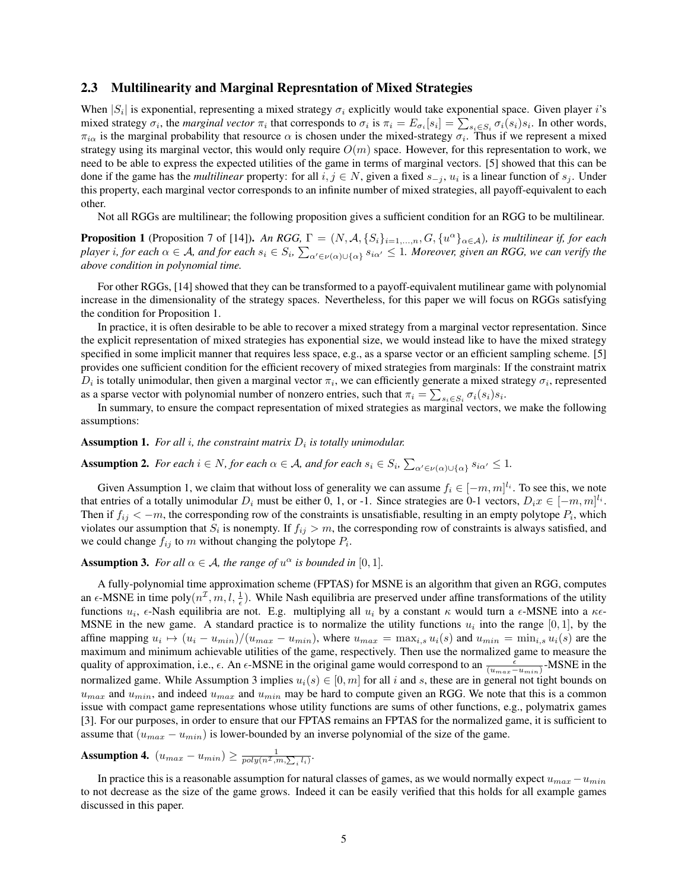## 2.3 Multilinearity and Marginal Represntation of Mixed Strategies

When  $|S_i|$  is exponential, representing a mixed strategy  $\sigma_i$  explicitly would take exponential space. Given player i's mixed strategy  $\sigma_i$ , the *marginal vector*  $\pi_i$  that corresponds to  $\sigma_i$  is  $\pi_i = E_{\sigma_i}[s_i] = \sum_{s_i \in S_i} \sigma_i(s_i)s_i$ . In other words,  $\pi_{i\alpha}$  is the marginal probability that resource  $\alpha$  is chosen under the mixed-strategy  $\sigma_i$ . Thus if we represent a mixed strategy using its marginal vector, this would only require  $O(m)$  space. However, for this representation to work, we need to be able to express the expected utilities of the game in terms of marginal vectors. [5] showed that this can be done if the game has the *multilinear* property: for all  $i, j \in N$ , given a fixed  $s_{-j}$ ,  $u_i$  is a linear function of  $s_j$ . Under this property, each marginal vector corresponds to an infinite number of mixed strategies, all payoff-equivalent to each other.

Not all RGGs are multilinear; the following proposition gives a sufficient condition for an RGG to be multilinear.

**Proposition 1** (Proposition 7 of [14]). An RGG,  $\Gamma = (N, \mathcal{A}, \{S_i\}_{i=1,\dots,n}, G, \{u^\alpha\}_{\alpha \in \mathcal{A}})$ , is multilinear if, for each player i, for each  $\alpha\in\mathcal A$ , and for each  $s_i\in S_i$ ,  $\sum_{\alpha'\in\nu(\alpha)\cup\{\alpha\}}s_{i\alpha'}\le 1$ . Moreover, given an RGG, we can verify the *above condition in polynomial time.*

For other RGGs, [14] showed that they can be transformed to a payoff-equivalent mutilinear game with polynomial increase in the dimensionality of the strategy spaces. Nevertheless, for this paper we will focus on RGGs satisfying the condition for Proposition 1.

In practice, it is often desirable to be able to recover a mixed strategy from a marginal vector representation. Since the explicit representation of mixed strategies has exponential size, we would instead like to have the mixed strategy specified in some implicit manner that requires less space, e.g., as a sparse vector or an efficient sampling scheme. [5] provides one sufficient condition for the efficient recovery of mixed strategies from marginals: If the constraint matrix  $D_i$  is totally unimodular, then given a marginal vector  $\pi_i$ , we can efficiently generate a mixed strategy  $\sigma_i$ , represented as a sparse vector with polynomial number of nonzero entries, such that  $\pi_i = \sum_{s_i \in S_i} \sigma_i(s_i) s_i$ .

In summary, to ensure the compact representation of mixed strategies as marginal vectors, we make the following assumptions:

## **Assumption 1.** For all i, the constraint matrix  $D_i$  is totally unimodular.

# Assumption 2. For each  $i \in N$ , for each  $\alpha \in A$ , and for each  $s_i \in S_i$ ,  $\sum_{\alpha' \in \nu(\alpha) \cup \{\alpha\}} s_{i\alpha'} \leq 1$ .

Given Assumption 1, we claim that without loss of generality we can assume  $f_i \in [-m, m]^{l_i}$ . To see this, we note that entries of a totally unimodular  $D_i$  must be either 0, 1, or -1. Since strategies are 0-1 vectors,  $D_i x \in [-m, m]^{l_i}$ . Then if  $f_{ij} < -m$ , the corresponding row of the constraints is unsatisfiable, resulting in an empty polytope  $P_i$ , which violates our assumption that  $S_i$  is nonempty. If  $f_{ij} > m$ , the corresponding row of constraints is always satisfied, and we could change  $f_{ij}$  to m without changing the polytope  $P_i$ .

# **Assumption 3.** *For all*  $\alpha \in A$ *, the range of*  $u^{\alpha}$  *is bounded in* [0, 1]*.*

A fully-polynomial time approximation scheme (FPTAS) for MSNE is an algorithm that given an RGG, computes an  $\epsilon$ -MSNE in time poly $(n^{\mathcal{I}}, m, l, \frac{1}{\epsilon})$ . While Nash equilibria are preserved under affine transformations of the utility functions  $u_i$ ,  $\epsilon$ -Nash equilibria are not. E.g. multiplying all  $u_i$  by a constant  $\kappa$  would turn a  $\epsilon$ -MSNE into a  $\kappa \epsilon$ -MSNE in the new game. A standard practice is to normalize the utility functions  $u_i$  into the range [0, 1], by the affine mapping  $u_i \mapsto (u_i - u_{min})/(u_{max} - u_{min})$ , where  $u_{max} = \max_{i,s} u_i(s)$  and  $u_{min} = \min_{i,s} u_i(s)$  are the maximum and minimum achievable utilities of the game, respectively. Then use the normalized game to measure the quality of approximation, i.e.,  $\epsilon$ . An  $\epsilon$ -MSNE in the original game would correspond to an  $\frac{\epsilon}{(u_{max}-u_{min})}$ -MSNE in the normalized game. While Assumption 3 implies  $u_i(s) \in [0, m]$  for all i and s, these are in general not tight bounds on  $u_{max}$  and  $u_{min}$ , and indeed  $u_{max}$  and  $u_{min}$  may be hard to compute given an RGG. We note that this is a common issue with compact game representations whose utility functions are sums of other functions, e.g., polymatrix games [3]. For our purposes, in order to ensure that our FPTAS remains an FPTAS for the normalized game, it is sufficient to assume that  $(u_{max} - u_{min})$  is lower-bounded by an inverse polynomial of the size of the game.

Assumption 4.  $(u_{max} - u_{min}) \ge \frac{1}{poly(n^{\mathcal{I}}, m, \sum_i l_i)}.$ 

In practice this is a reasonable assumption for natural classes of games, as we would normally expect  $u_{max} - u_{min}$ to not decrease as the size of the game grows. Indeed it can be easily verified that this holds for all example games discussed in this paper.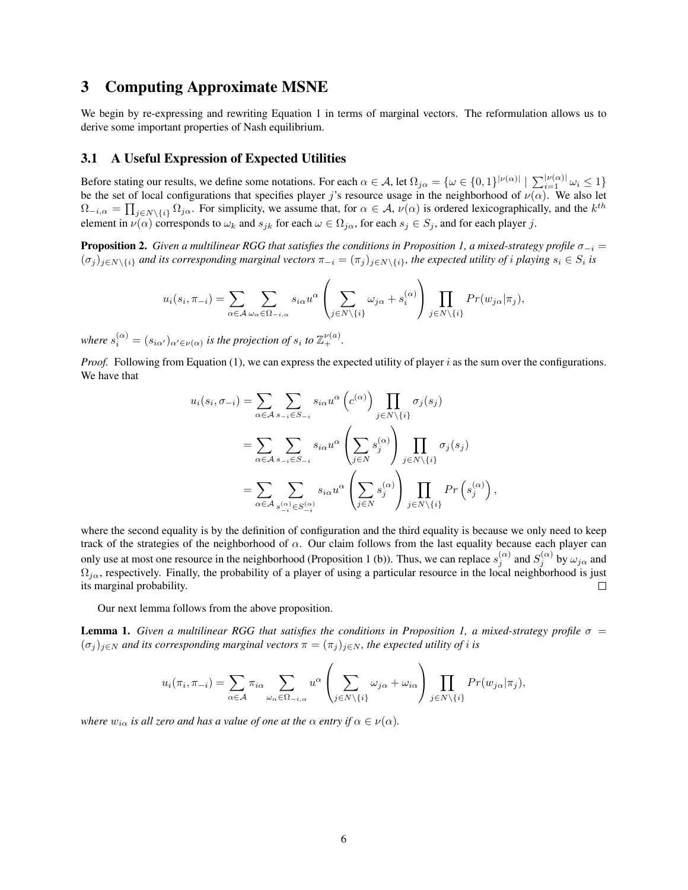# 3 Computing Approximate MSNE

We begin by re-expressing and rewriting Equation 1 in terms of marginal vectors. The reformulation allows us to derive some important properties of Nash equilibrium.

# 3.1 A Useful Expression of Expected Utilities

Before stating our results, we define some notations. For each  $\alpha \in A$ , let  $\Omega_{j\alpha} = \{ \omega \in \{0,1\}^{|\nu(\alpha)|} \mid \sum_{i=1}^{|\nu(\alpha)|} \omega_i \leq 1 \}$ be the set of local configurations that specifies player j's resource usage in the neighborhood of  $\nu(\alpha)$ . We also let  $\Omega_{-i,\alpha} = \prod_{j \in N \setminus \{i\}} \Omega_{j\alpha}$ . For simplicity, we assume that, for  $\alpha \in A$ ,  $\nu(\alpha)$  is ordered lexicographically, and the  $k^{th}$ element in  $\nu(\alpha)$  corresponds to  $\omega_k$  and  $s_{jk}$  for each  $\omega \in \Omega_{j\alpha}$ , for each  $s_j \in S_j$ , and for each player j.

**Proposition 2.** *Given a multilinear RGG that satisfies the conditions in Proposition 1, a mixed-strategy profile*  $\sigma_{-i}$  =  $(\sigma_j)_{j\in N\setminus\{i\}}$  and its corresponding marginal vectors  $\pi_{-i}=(\pi_j)_{j\in N\setminus\{i\}}$ , the expected utility of *i* playing  $s_i\in S_i$  is

$$
u_i(s_i, \pi_{-i}) = \sum_{\alpha \in \mathcal{A}} \sum_{\omega_{\alpha} \in \Omega_{-i, \alpha}} s_{i\alpha} u^{\alpha} \left( \sum_{j \in N \setminus \{i\}} \omega_{j\alpha} + s_i^{(\alpha)} \right) \prod_{j \in N \setminus \{i\}} Pr(w_{j\alpha} | \pi_j),
$$

*where*  $s_i^{(\alpha)} = (s_{i\alpha'})_{\alpha' \in \nu(\alpha)}$  *is the projection of*  $s_i$  *to*  $\mathbb{Z}_+^{\nu(a)}$ *.* 

*Proof.* Following from Equation (1), we can express the expected utility of player i as the sum over the configurations. We have that

$$
u_i(s_i, \sigma_{-i}) = \sum_{\alpha \in A} \sum_{s_{-i} \in S_{-i}} s_{i\alpha} u^{\alpha} (c^{(\alpha)}) \prod_{j \in N \setminus \{i\}} \sigma_j(s_j)
$$
  

$$
= \sum_{\alpha \in A} \sum_{s_{-i} \in S_{-i}} s_{i\alpha} u^{\alpha} \left( \sum_{j \in N} s_j^{(\alpha)} \right) \prod_{j \in N \setminus \{i\}} \sigma_j(s_j)
$$
  

$$
= \sum_{\alpha \in A} \sum_{s_{-i}^{(\alpha)} \in S_{-i}^{(\alpha)}} s_{i\alpha} u^{\alpha} \left( \sum_{j \in N} s_j^{(\alpha)} \right) \prod_{j \in N \setminus \{i\}} Pr(s_j^{(\alpha)}),
$$

where the second equality is by the definition of configuration and the third equality is because we only need to keep track of the strategies of the neighborhood of  $\alpha$ . Our claim follows from the last equality because each player can only use at most one resource in the neighborhood (Proposition 1 (b)). Thus, we can replace  $s_j^{(\alpha)}$  and  $S_j^{(\alpha)}$  by  $\omega_{j\alpha}$  and  $\Omega_{j\alpha}$ , respectively. Finally, the probability of a player of using a particular resource in the local neighborhood is just  $\Box$ its marginal probability.

Our next lemma follows from the above proposition.

**Lemma 1.** *Given a multilinear RGG that satisfies the conditions in Proposition 1, a mixed-strategy profile*  $\sigma$  =  $(\sigma_j)_{j\in\mathbb{N}}$  *and its corresponding marginal vectors*  $\pi = (\pi_j)_{j\in\mathbb{N}}$ *, the expected utility of i is* 

$$
u_i(\pi_i, \pi_{-i}) = \sum_{\alpha \in \mathcal{A}} \pi_{i\alpha} \sum_{\omega_{\alpha} \in \Omega_{-i,\alpha}} u^{\alpha} \left( \sum_{j \in N \setminus \{i\}} \omega_{j\alpha} + \omega_{i\alpha} \right) \prod_{j \in N \setminus \{i\}} Pr(w_{j\alpha} | \pi_j),
$$

*where*  $w_{i\alpha}$  *is all zero and has a value of one at the*  $\alpha$  *entry if*  $\alpha \in \nu(\alpha)$ *.*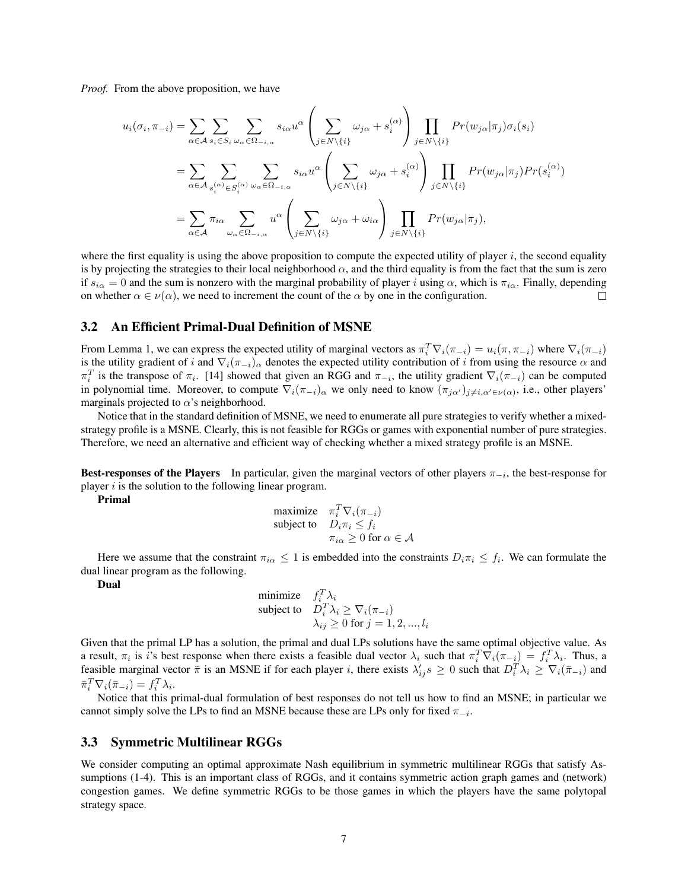*Proof.* From the above proposition, we have

$$
u_i(\sigma_i, \pi_{-i}) = \sum_{\alpha \in A} \sum_{s_i \in S_i} \sum_{\omega_{\alpha} \in \Omega_{-i,\alpha}} s_{i\alpha} u^{\alpha} \left( \sum_{j \in N \setminus \{i\}} \omega_{j\alpha} + s_i^{(\alpha)} \right) \prod_{j \in N \setminus \{i\}} Pr(w_{j\alpha} | \pi_j) \sigma_i(s_i)
$$
  

$$
= \sum_{\alpha \in A} \sum_{s_i^{(\alpha)} \in S_i^{(\alpha)}} \sum_{\omega_{\alpha} \in \Omega_{-i,\alpha}} s_{i\alpha} u^{\alpha} \left( \sum_{j \in N \setminus \{i\}} \omega_{j\alpha} + s_i^{(\alpha)} \right) \prod_{j \in N \setminus \{i\}} Pr(w_{j\alpha} | \pi_j) Pr(s_i^{(\alpha)})
$$
  

$$
= \sum_{\alpha \in A} \pi_{i\alpha} \sum_{\omega_{\alpha} \in \Omega_{-i,\alpha}} u^{\alpha} \left( \sum_{j \in N \setminus \{i\}} \omega_{j\alpha} + \omega_{i\alpha} \right) \prod_{j \in N \setminus \{i\}} Pr(w_{j\alpha} | \pi_j),
$$

where the first equality is using the above proposition to compute the expected utility of player  $i$ , the second equality is by projecting the strategies to their local neighborhood  $\alpha$ , and the third equality is from the fact that the sum is zero if  $s_{i\alpha} = 0$  and the sum is nonzero with the marginal probability of player i using  $\alpha$ , which is  $\pi_{i\alpha}$ . Finally, depending on whether  $\alpha \in \nu(\alpha)$ , we need to increment the count of the  $\alpha$  by one in the configuration. П

## 3.2 An Efficient Primal-Dual Definition of MSNE

From Lemma 1, we can express the expected utility of marginal vectors as  $\pi_i^T \nabla_i(\pi_{-i}) = u_i(\pi, \pi_{-i})$  where  $\nabla_i(\pi_{-i})$ is the utility gradient of i and  $\nabla_i(\pi_{-i})_\alpha$  denotes the expected utility contribution of i from using the resource  $\alpha$  and  $\pi_i^T$  is the transpose of  $\pi_i$ . [14] showed that given an RGG and  $\pi_{-i}$ , the utility gradient  $\nabla_i(\pi_{-i})$  can be computed in polynomial time. Moreover, to compute  $\nabla_i(\pi_{-i})_\alpha$  we only need to know  $(\pi_{j\alpha'})_{j\neq i,\alpha'\in\nu(\alpha)}$ , i.e., other players' marginals projected to  $\alpha$ 's neighborhood.

Notice that in the standard definition of MSNE, we need to enumerate all pure strategies to verify whether a mixedstrategy profile is a MSNE. Clearly, this is not feasible for RGGs or games with exponential number of pure strategies. Therefore, we need an alternative and efficient way of checking whether a mixed strategy profile is an MSNE.

Best-responses of the Players In particular, given the marginal vectors of other players  $\pi_{-i}$ , the best-response for player  $i$  is the solution to the following linear program.

Primal

$$
\begin{array}{ll}\text{maximize} & \pi_i^T \nabla_i (\pi_{-i})\\ \text{subject to} & D_i \pi_i \le f_i\\ & \pi_{i\alpha} \ge 0 \text{ for } \alpha \in \mathcal{A} \end{array}
$$

Here we assume that the constraint  $\pi_{i\alpha} \leq 1$  is embedded into the constraints  $D_i \pi_i \leq f_i$ . We can formulate the dual linear program as the following.

Dual

minimize 
$$
f_i^T \lambda_i
$$
  
\nsubject to  $D_i^T \lambda_i \geq \nabla_i (\pi_{-i})$   
\n $\lambda_{ij} \geq 0$  for  $j = 1, 2, ..., l_i$ 

Given that the primal LP has a solution, the primal and dual LPs solutions have the same optimal objective value. As a result,  $\pi_i$  is i's best response when there exists a feasible dual vector  $\lambda_i$  such that  $\pi_i^T \nabla_i (\pi_{-i}) = f_i^T \lambda_i$ . Thus, a feasible marginal vector  $\bar{\pi}$  is an MSNE if for each player *i*, there exists  $\lambda'_{ij} s \geq 0$  such that  $D_i^T \lambda_i \geq \nabla_i (\bar{\pi}_{-i})$  and  $\bar{\pi}_i^T \nabla_i (\bar{\pi}_{-i}) = f_i^T \lambda_i.$ 

Notice that this primal-dual formulation of best responses do not tell us how to find an MSNE; in particular we cannot simply solve the LPs to find an MSNE because these are LPs only for fixed  $\pi_{-i}$ .

#### 3.3 Symmetric Multilinear RGGs

We consider computing an optimal approximate Nash equilibrium in symmetric multilinear RGGs that satisfy Assumptions (1-4). This is an important class of RGGs, and it contains symmetric action graph games and (network) congestion games. We define symmetric RGGs to be those games in which the players have the same polytopal strategy space.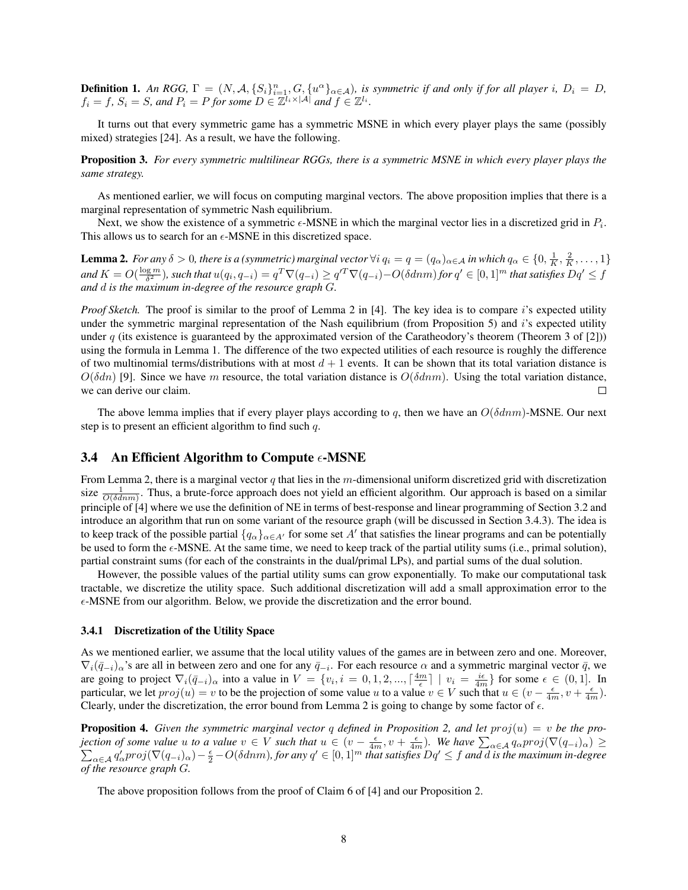**Definition 1.** An RGG,  $\Gamma = (N, \mathcal{A}, \{S_i\}_{i=1}^n, G, \{u^{\alpha}\}_{\alpha \in \mathcal{A}})$ , is symmetric if and only if for all player i,  $D_i = D$ ,  $f_i = f$ ,  $S_i = S$ , and  $P_i = P$  for some  $D \in \mathbb{Z}^{\tilde{l}_i \times |\mathcal{A}|}$  and  $f \in \mathbb{Z}^{l_i}$ .

It turns out that every symmetric game has a symmetric MSNE in which every player plays the same (possibly mixed) strategies [24]. As a result, we have the following.

Proposition 3. *For every symmetric multilinear RGGs, there is a symmetric MSNE in which every player plays the same strategy.*

As mentioned earlier, we will focus on computing marginal vectors. The above proposition implies that there is a marginal representation of symmetric Nash equilibrium.

Next, we show the existence of a symmetric  $\epsilon$ -MSNE in which the marginal vector lies in a discretized grid in  $P_i$ . This allows us to search for an  $\epsilon$ -MSNE in this discretized space.

**Lemma 2.** For any  $\delta > 0$ , there is a (symmetric) marginal vector  $\forall i$   $q_i = q = (q_\alpha)_{\alpha \in A}$  in which  $q_\alpha \in \{0, \frac{1}{K}, \frac{2}{K}, \dots, 1\}$ and  $K = O(\frac{\log m}{\delta^2})$ , such that  $u(q_i, q_{-i}) = q^T \nabla (q_{-i}) \geq q'^T \nabla (q_{-i}) - O(\delta dnm)$  for  $q' \in [0, 1]^m$  that satisfies  $Dq' \leq f$ *and* d *is the maximum in-degree of the resource graph* G*.*

*Proof Sketch.* The proof is similar to the proof of Lemma 2 in [4]. The key idea is to compare i's expected utility under the symmetric marginal representation of the Nash equilibrium (from Proposition 5) and  $i$ 's expected utility under q (its existence is guaranteed by the approximated version of the Caratheodory's theorem (Theorem 3 of [2])) using the formula in Lemma 1. The difference of the two expected utilities of each resource is roughly the difference of two multinomial terms/distributions with at most  $d + 1$  events. It can be shown that its total variation distance is  $O(\delta dn)$  [9]. Since we have m resource, the total variation distance is  $O(\delta dnm)$ . Using the total variation distance, we can derive our claim. П

The above lemma implies that if every player plays according to q, then we have an  $O(\delta dnm)$ -MSNE. Our next step is to present an efficient algorithm to find such q.

## 3.4 An Efficient Algorithm to Compute  $\epsilon$ -MSNE

From Lemma 2, there is a marginal vector q that lies in the m-dimensional uniform discretized grid with discretization size  $\frac{1}{O(\delta dnm)}$ . Thus, a brute-force approach does not yield an efficient algorithm. Our approach is based on a similar principle of [4] where we use the definition of NE in terms of best-response and linear programming of Section 3.2 and introduce an algorithm that run on some variant of the resource graph (will be discussed in Section 3.4.3). The idea is to keep track of the possible partial  $\{q_\alpha\}_{\alpha \in A'}$  for some set  $A'$  that satisfies the linear programs and can be potentially be used to form the  $\epsilon$ -MSNE. At the same time, we need to keep track of the partial utility sums (i.e., primal solution), partial constraint sums (for each of the constraints in the dual/primal LPs), and partial sums of the dual solution.

However, the possible values of the partial utility sums can grow exponentially. To make our computational task tractable, we discretize the utility space. Such additional discretization will add a small approximation error to the  $\epsilon$ -MSNE from our algorithm. Below, we provide the discretization and the error bound.

#### 3.4.1 Discretization of the Utility Space

As we mentioned earlier, we assume that the local utility values of the games are in between zero and one. Moreover,  $\nabla_i(\bar{q}_{-i})_{\alpha}$ 's are all in between zero and one for any  $\bar{q}_{-i}$ . For each resource  $\alpha$  and a symmetric marginal vector  $\bar{q}$ , we are going to project  $\nabla_i(\bar{q}_{-i})_\alpha$  into a value in  $V = \{v_i, i = 0, 1, 2, ..., \lceil \frac{4m}{\epsilon} \rceil \mid v_i = \frac{i\epsilon}{4m}\}\$  for some  $\epsilon \in (0, 1]$ . In particular, we let  $proj(u) = v$  to be the projection of some value u to a value  $v \in V$  such that  $u \in (v - \frac{\epsilon}{4m}, v + \frac{\epsilon}{4m})$ . Clearly, under the discretization, the error bound from Lemma 2 is going to change by some factor of  $\epsilon$ .

**Proposition 4.** Given the symmetric marginal vector q defined in Proposition 2, and let  $proj(u) = v$  be the projection of some value u to a value  $v \in V$  such that  $u \in (v - \frac{\epsilon}{4m}, v + \frac{\epsilon}{4m})$ . We have  $\sum_{\alpha \in A} q_{\alpha} proj(\nabla (q_{-i})_{\alpha}) \ge \sum_{\alpha \in A} q_{\alpha}' proj(\nabla (q_{-i})_{\alpha}) - \frac{\epsilon}{2} - O(\delta dnm)$ , for any  $q' \in [0, 1]^m$  that satisfies  $Dq' \le f$  and d is *of the resource graph* G*.*

The above proposition follows from the proof of Claim 6 of [4] and our Proposition 2.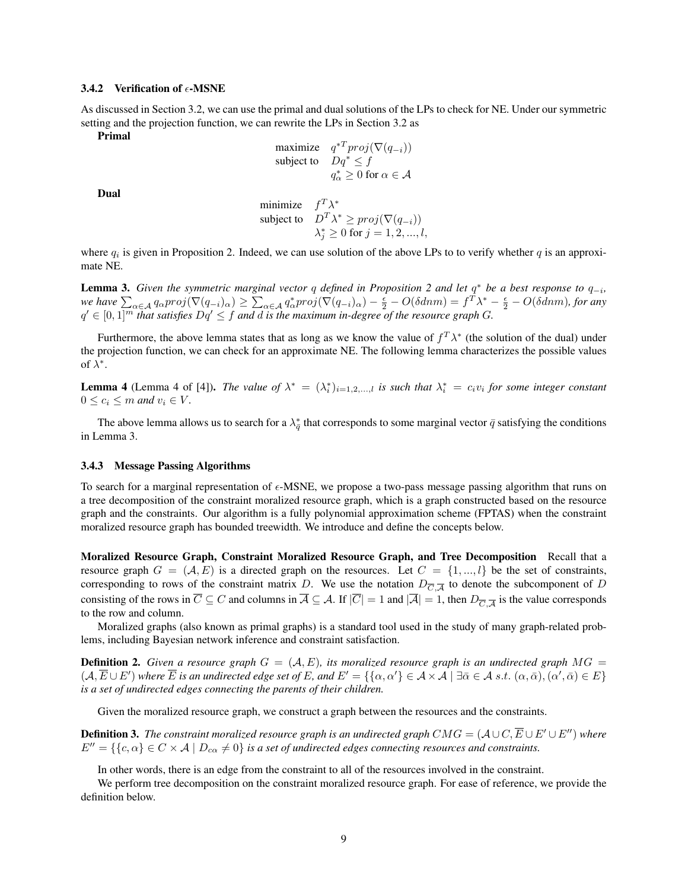#### 3.4.2 Verification of  $\epsilon$ -MSNE

As discussed in Section 3.2, we can use the primal and dual solutions of the LPs to check for NE. Under our symmetric setting and the projection function, we can rewrite the LPs in Section 3.2 as

Primal

$$
\begin{array}{ll}\text{maximize} & q^{*T}proj(\nabla(q_{-i}))\\ \text{subject to} & Dq^* \le f\\ & q^*_{\alpha} \ge 0 \text{ for } \alpha \in \mathcal{A} \end{array}
$$

Dual

minimize 
$$
f^T \lambda^*
$$
  
subject to  $D^T \lambda^* \ge proj(\nabla(q_{-i}))$   
 $\lambda_j^* \ge 0$  for  $j = 1, 2, ..., l$ ,

where  $q_i$  is given in Proposition 2. Indeed, we can use solution of the above LPs to to verify whether q is an approximate NE.

**Lemma 3.** Given the symmetric marginal vector q defined in Proposition 2 and let  $q^*$  be a best response to  $q_{-i}$ ,  $\omega$  we have  $\sum_{\alpha\in\mathcal{A}}q_{\alpha}proj(\nabla(q_{-i})_{\alpha})\geq\sum_{\alpha\in\mathcal{A}}q_{\alpha}^{*}proj(\nabla(q_{-i})_{\alpha})-\frac{\epsilon}{2}-O(\delta dnm)=f^T\lambda^*-\frac{\epsilon}{2}-O(\delta dnm)$ , for any  $q' \in [0,1]^m$  that satisfies  $Dq' \leq f$  and  $d$  is the maximum in-degree of the resource graph  $G$ .

Furthermore, the above lemma states that as long as we know the value of  $f^T\lambda^*$  (the solution of the dual) under the projection function, we can check for an approximate NE. The following lemma characterizes the possible values of  $\lambda^*$ .

**Lemma 4** (Lemma 4 of [4]). *The value of*  $\lambda^* = (\lambda_i^*)_{i=1,2,...,l}$  *is such that*  $\lambda_i^* = c_i v_i$  *for some integer constant*  $0 \leq c_i \leq m$  *and*  $v_i \in V$ *.* 

The above lemma allows us to search for a  $\lambda_{\bar{q}}^*$  that corresponds to some marginal vector  $\bar{q}$  satisfying the conditions in Lemma 3.

#### 3.4.3 Message Passing Algorithms

To search for a marginal representation of  $\epsilon$ -MSNE, we propose a two-pass message passing algorithm that runs on a tree decomposition of the constraint moralized resource graph, which is a graph constructed based on the resource graph and the constraints. Our algorithm is a fully polynomial approximation scheme (FPTAS) when the constraint moralized resource graph has bounded treewidth. We introduce and define the concepts below.

Moralized Resource Graph, Constraint Moralized Resource Graph, and Tree Decomposition Recall that a resource graph  $G = (\mathcal{A}, E)$  is a directed graph on the resources. Let  $C = \{1, ..., l\}$  be the set of constraints, corresponding to rows of the constraint matrix D. We use the notation  $D_{\overline{C},\overline{A}}$  to denote the subcomponent of D consisting of the rows in  $\overline{C} \subseteq C$  and columns in  $\overline{A} \subseteq A$ . If  $|\overline{C}| = 1$  and  $|\overline{A}| = 1$ , then  $D_{\overline{C}, \overline{A}}$  is the value corresponds to the row and column.

Moralized graphs (also known as primal graphs) is a standard tool used in the study of many graph-related problems, including Bayesian network inference and constraint satisfaction.

**Definition 2.** Given a resource graph  $G = (\mathcal{A}, E)$ , its moralized resource graph is an undirected graph  $MG =$  $(A, \overline{E} \cup E')$  where  $\overline{E}$  *is an undirected edge set of E, and E'* = { $\{\alpha, \alpha'\} \in A \times A \mid \exists \overline{\alpha} \in A \text{ s.t. } (\alpha, \overline{\alpha}), (\alpha', \overline{\alpha}) \in E\}$ *is a set of undirected edges connecting the parents of their children.*

Given the moralized resource graph, we construct a graph between the resources and the constraints.

**Definition 3.** The constraint moralized resource graph is an undirected graph  $CMG = (\mathcal{A} \cup C, \overline{E} \cup E' \cup E'')$  where  $E'' = \{\{c, \alpha\} \in C \times \mathcal{A} \mid D_{c\alpha} \neq 0\}$  *is a set of undirected edges connecting resources and constraints.* 

In other words, there is an edge from the constraint to all of the resources involved in the constraint.

We perform tree decomposition on the constraint moralized resource graph. For ease of reference, we provide the definition below.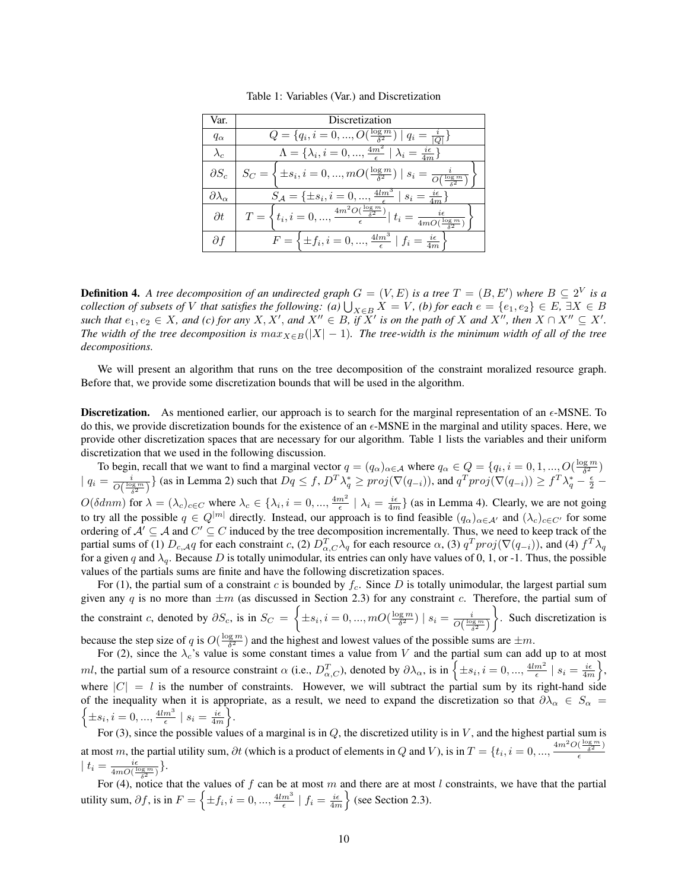| Var.                      | Discretization                                                                                                                           |
|---------------------------|------------------------------------------------------------------------------------------------------------------------------------------|
| $q_{\alpha}$              | $Q = \{q_i, i = 0, , O(\frac{\log m}{\delta^2}) \mid q_i = \frac{i}{ Q }\}\$                                                             |
| $\lambda_c$               | $\Lambda = {\lambda_i, i = 0, , \frac{4m^2}{\epsilon}   \lambda_i = \frac{i\epsilon}{4m}}$                                               |
| $\partial S_c$            | $S_C = \left\{ \pm s_i, i = 0, , mO(\frac{\log m}{\delta^2}) \mid s_i = \frac{i}{O(\frac{\log m}{s2})} \right\}$                         |
| $\partial \lambda_\alpha$ | $S_{\mathcal{A}} = \{\pm s_i, i = 0, , \frac{4lm^3}{\epsilon} \mid s_i = \frac{i\epsilon}{4m}\}$                                         |
| $\partial t$              | $T = \left\{ t_i, i = 0, , \frac{4m^2 O(\frac{\log m}{\delta^2})}{\epsilon} \right  t_i$<br>$=\frac{i\epsilon}{4mO(\frac{\log m}{c^2})}$ |
| df                        | $F = \left\{ \pm f_i, i = 0, , \frac{4lm^3}{\epsilon} \;   \; f_i = \frac{i\epsilon}{4m} \right\}$                                       |

Table 1: Variables (Var.) and Discretization

**Definition 4.** A tree decomposition of an undirected graph  $G = (V, E)$  is a tree  $T = (B, E')$  where  $B \subseteq 2^V$  is a *collection of subsets of* V *that satisfies the following:* (a)  $\bigcup_{X\in B} X = V$ , (b) for each  $e = \{e_1, e_2\} \in E$ ,  $\exists X \in B$ *such that* e1, e<sup>2</sup> ∈ X*, and (c) for any* X, X<sup>0</sup> , *and* X<sup>00</sup> ∈ B*, if* X<sup>0</sup> *is on the path of* X *and* X<sup>00</sup>*, then* X ∩ X<sup>00</sup> ⊆ X<sup>0</sup> *. The width of the tree decomposition is*  $max_{X \in B}(|X| - 1)$ *. The tree-width is the minimum width of all of the tree decompositions.*

We will present an algorithm that runs on the tree decomposition of the constraint moralized resource graph. Before that, we provide some discretization bounds that will be used in the algorithm.

**Discretization.** As mentioned earlier, our approach is to search for the marginal representation of an  $\epsilon$ -MSNE. To do this, we provide discretization bounds for the existence of an  $\epsilon$ -MSNE in the marginal and utility spaces. Here, we provide other discretization spaces that are necessary for our algorithm. Table 1 lists the variables and their uniform discretization that we used in the following discussion.

To begin, recall that we want to find a marginal vector  $q = (q_\alpha)_{\alpha \in \mathcal{A}}$  where  $q_\alpha \in Q = \{q_i, i = 0, 1, ..., O(\frac{\log m}{\delta^2})\}$  $| q_i = \frac{i}{O(\frac{\log m}{\delta^2})}\}\$  (as in Lemma 2) such that  $Dq \leq f$ ,  $D^T\lambda_q^* \geq proj(\nabla(q_{-i}))$ , and  $q^Tproj(\nabla(q_{-i})) \geq f^T\lambda_q^* - \frac{\epsilon}{2}$  $O(\delta dnm)$  for  $\lambda = (\lambda_c)_{c \in C}$  where  $\lambda_c \in \{\lambda_i, i = 0, ..., \frac{4m^2}{\epsilon} \mid \lambda_i = \frac{i\epsilon}{4m}\}$  (as in Lemma 4). Clearly, we are not going to try all the possible  $q \in Q^{|m|}$  directly. Instead, our approach is to find feasible  $(q_\alpha)_{\alpha \in A'}$  and  $(\lambda_c)_{c \in C'}$  for some ordering of  $A' \subseteq A$  and  $C' \subseteq C$  induced by the tree decomposition incrementally. Thus, we need to keep track of the partial sums of (1)  $D_{c,A}q$  for each constraint c, (2)  $D_{\alpha,C}^T \lambda_q$  for each resource  $\alpha$ , (3)  $q^Tproj(\nabla(q_{-i}))$ , and (4)  $f^T \lambda_q$ for a given q and  $\lambda_q$ . Because D is totally unimodular, its entries can only have values of 0, 1, or -1. Thus, the possible values of the partials sums are finite and have the following discretization spaces.

For (1), the partial sum of a constraint c is bounded by  $f_c$ . Since D is totally unimodular, the largest partial sum given any q is no more than  $\pm m$  (as discussed in Section 2.3) for any constraint c. Therefore, the partial sum of the constraint c, denoted by  $\partial S_c$ , is in  $S_C = \left\{\pm s_i, i = 0, ..., mO(\frac{\log m}{\delta^2}) \mid s_i = \frac{i}{O(\frac{\log m}{\delta^2})}\right\}$  . Such discretization is because the step size of q is  $O(\frac{\log m}{\delta^2})$  and the highest and lowest values of the possible sums are  $\pm m$ .

For (2), since the  $\lambda_c$ 's value is some constant times a value from V and the partial sum can add up to at most ml, the partial sum of a resource constraint  $\alpha$  (i.e.,  $D_{\alpha,C}^T$ ), denoted by  $\partial \lambda_{\alpha}$ , is in  $\left\{\pm s_i, i=0,...,\frac{4lm^2}{\epsilon} \mid s_i = \frac{i\epsilon}{4m}\right\}$ , where  $|C| = l$  is the number of constraints. However, we will subtract the partial sum by its right-hand side of the inequality when it is appropriate, as a result, we need to expand the discretization so that  $\partial \lambda_\alpha \in S_\alpha$  =  $\left\{\pm s_i, i=0,...,\frac{4lm^3}{\epsilon} \mid s_i=\frac{i\epsilon}{4m}\right\}.$ 

For (3), since the possible values of a marginal is in  $Q$ , the discretized utility is in  $V$ , and the highest partial sum is at most m, the partial utility sum,  $\partial t$  (which is a product of elements in Q and V), is in  $T = \{t_i, i = 0, ..., \frac{4m^2O(\frac{\log m}{\delta^2})}{\epsilon}\}$  $\epsilon$  $t_i = \frac{i\epsilon}{4mQ^{(1)}}$  $\frac{i\epsilon}{4mO(\frac{\log m}{\epsilon^2})}\}$ .

For (4), notice that the values of f can be at most m and there are at most l constraints, we have that the partial utility sum,  $\partial f$ , is in  $F = \left\{ \pm f_i, i = 0, ..., \frac{4lm^3}{\epsilon} \mid f_i = \frac{i\epsilon}{4m} \right\}$  (see Section 2.3).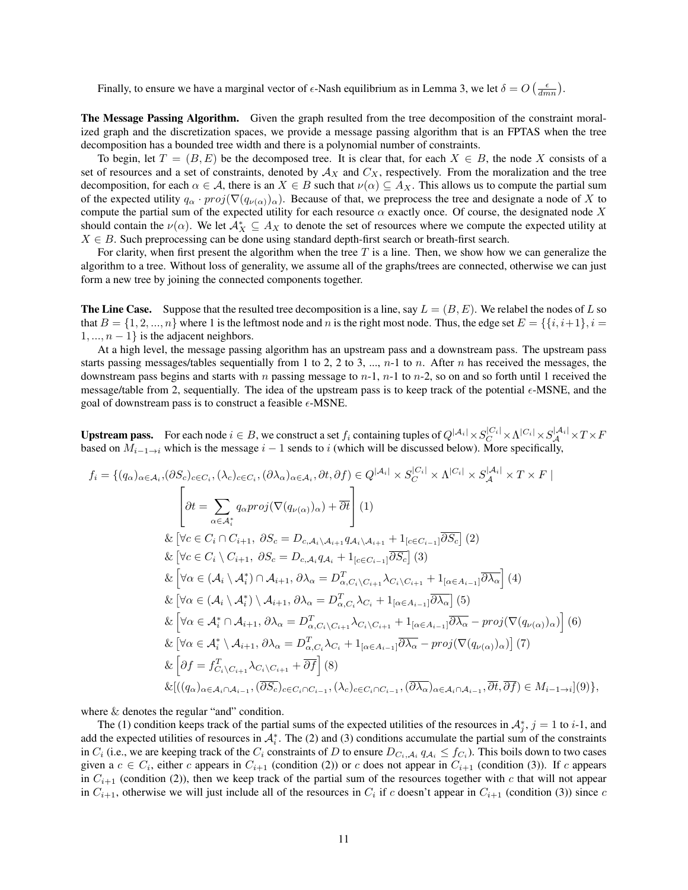Finally, to ensure we have a marginal vector of  $\epsilon$ -Nash equilibrium as in Lemma 3, we let  $\delta = O\left(\frac{\epsilon}{dmn}\right)$ .

The Message Passing Algorithm. Given the graph resulted from the tree decomposition of the constraint moralized graph and the discretization spaces, we provide a message passing algorithm that is an FPTAS when the tree decomposition has a bounded tree width and there is a polynomial number of constraints.

To begin, let  $T = (B, E)$  be the decomposed tree. It is clear that, for each  $X \in B$ , the node X consists of a set of resources and a set of constraints, denoted by  $A_X$  and  $C_X$ , respectively. From the moralization and the tree decomposition, for each  $\alpha \in A$ , there is an  $X \in B$  such that  $\nu(\alpha) \subseteq A_X$ . This allows us to compute the partial sum of the expected utility  $q_\alpha \cdot proj(\nabla(q_{\nu(\alpha)})_\alpha)$ . Because of that, we preprocess the tree and designate a node of X to compute the partial sum of the expected utility for each resource  $\alpha$  exactly once. Of course, the designated node X should contain the  $\nu(\alpha)$ . We let  $\mathcal{A}_X^* \subseteq A_X$  to denote the set of resources where we compute the expected utility at  $X \in B$ . Such preprocessing can be done using standard depth-first search or breath-first search.

For clarity, when first present the algorithm when the tree  $T$  is a line. Then, we show how we can generalize the algorithm to a tree. Without loss of generality, we assume all of the graphs/trees are connected, otherwise we can just form a new tree by joining the connected components together.

**The Line Case.** Suppose that the resulted tree decomposition is a line, say  $L = (B, E)$ . We relabel the nodes of L so that  $B = \{1, 2, ..., n\}$  where 1 is the leftmost node and n is the right most node. Thus, the edge set  $E = \{\{i, i+1\}, i =$  $1, ..., n - 1$  is the adjacent neighbors.

At a high level, the message passing algorithm has an upstream pass and a downstream pass. The upstream pass starts passing messages/tables sequentially from 1 to 2, 2 to 3, ...,  $n-1$  to n. After n has received the messages, the downstream pass begins and starts with n passing message to  $n-1$ ,  $n-1$  to  $n-2$ , so on and so forth until 1 received the message/table from 2, sequentially. The idea of the upstream pass is to keep track of the potential  $\epsilon$ -MSNE, and the goal of downstream pass is to construct a feasible  $\epsilon$ -MSNE.

**Upstream pass.** For each node  $i \in B$ , we construct a set  $f_i$  containing tuples of  $Q^{|A_i|} \times S_C^{|C_i|} \times \Lambda^{|C_i|} \times S_A^{|A_i|} \times T \times F$ based on  $M_{i-1\to i}$  which is the message  $i-1$  sends to i (which will be discussed below). More specifically,

$$
f_{i} = \{(q_{\alpha})_{\alpha \in A_{i}}, (\partial S_{c})_{c \in C_{i}}, (\lambda_{c})_{c \in C_{i}}, (\partial \lambda_{\alpha})_{\alpha \in A_{i}}, \partial t, \partial f) \in Q^{|\mathcal{A}_{i}|} \times S_{C}^{|\mathcal{C}_{i}|} \times \Lambda^{|\mathcal{C}_{i}|} \times S_{\mathcal{A}}^{|\mathcal{A}_{i}|} \times T \times F |
$$
\n
$$
\left[\partial t = \sum_{\alpha \in \mathcal{A}_{i}^{*}} q_{\alpha}proj(\nabla(q_{\nu(\alpha)})_{\alpha}) + \overline{\partial t}\right](1)
$$
\n
$$
\& \left[\forall c \in C_{i} \cap C_{i+1}, \partial S_{c} = D_{c,\mathcal{A}_{i}} \setminus A_{i+1} q_{\mathcal{A}_{i}} \setminus A_{i+1} + 1_{[c \in C_{i-1}]} \overline{\partial S_{c}}](2)\right]
$$
\n
$$
\& \left[\forall c \in C_{i} \setminus C_{i+1}, \partial S_{c} = D_{c,\mathcal{A}_{i}} q_{\mathcal{A}_{i}} + 1_{[c \in C_{i-1}]} \overline{\partial S_{c}}](3)\right]
$$
\n
$$
\& \left[\forall \alpha \in (\mathcal{A}_{i} \setminus \mathcal{A}_{i}^{*}) \cap \mathcal{A}_{i+1}, \partial \lambda_{\alpha} = D_{\alpha, C_{i}}^{T} \setminus C_{i+1} \lambda_{C_{i} \setminus C_{i+1}} + 1_{[\alpha \in A_{i-1}]} \overline{\partial \lambda_{\alpha}}\right](4)\right]
$$
\n
$$
\& \left[\forall \alpha \in (\mathcal{A}_{i} \setminus \mathcal{A}_{i}^{*}) \setminus A_{i+1}, \partial \lambda_{\alpha} = D_{\alpha, C_{i}}^{T} \setminus C_{i+1} \lambda_{C_{i} \setminus C_{i+1}} + 1_{[\alpha \in A_{i-1}]} \overline{\partial \lambda_{\alpha}} - \text{proj}(\nabla(q_{\nu(\alpha)})_{\alpha})\right](6)\right]
$$
\n
$$
\& \left[\forall \alpha \in \mathcal{A}_{i}^{*} \cap \mathcal{A}_{i+1}, \partial \lambda_{\alpha} = D_{\alpha, C_{i} \setminus C_{i+1}}^{T} \lambda_{C_{i} \
$$

where  $&$  denotes the regular "and" condition.

The (1) condition keeps track of the partial sums of the expected utilities of the resources in  $A_j^*$ ,  $j = 1$  to i-1, and add the expected utilities of resources in  $A_i^*$ . The (2) and (3) conditions accumulate the partial sum of the constraints in  $C_i$  (i.e., we are keeping track of the  $C_i$  constraints of D to ensure  $D_{C_i, A_i} q_{A_i} \leq f_{C_i}$ ). This boils down to two cases given a  $c \in C_i$ , either c appears in  $C_{i+1}$  (condition (2)) or c does not appear in  $C_{i+1}$  (condition (3)). If c appears in  $C_{i+1}$  (condition (2)), then we keep track of the partial sum of the resources together with c that will not appear in  $C_{i+1}$ , otherwise we will just include all of the resources in  $C_i$  if c doesn't appear in  $C_{i+1}$  (condition (3)) since c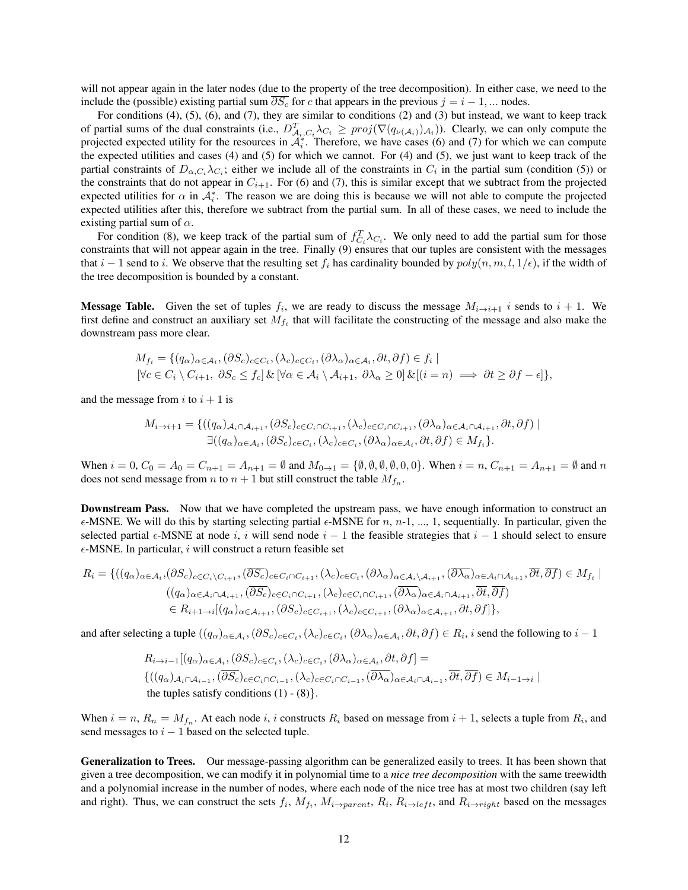will not appear again in the later nodes (due to the property of the tree decomposition). In either case, we need to the include the (possible) existing partial sum  $\overline{\partial S_c}$  for c that appears in the previous  $j = i - 1, ...$  nodes.

For conditions (4), (5), (6), and (7), they are similar to conditions (2) and (3) but instead, we want to keep track of partial sums of the dual constraints (i.e.,  $D_{\mathcal{A}_i,C_i}^T \lambda_{C_i} \geq \text{proj}(\nabla(q_{\nu(\mathcal{A}_i)})_{\mathcal{A}_i})$ ). Clearly, we can only compute the projected expected utility for the resources in  $\mathcal{A}_{i}^{*}$ . Therefore, we have cases (6) and (7) for which we can compute the expected utilities and cases (4) and (5) for which we cannot. For (4) and (5), we just want to keep track of the partial constraints of  $D_{\alpha,C_i}\lambda_{C_i}$ ; either we include all of the constraints in  $C_i$  in the partial sum (condition (5)) or the constraints that do not appear in  $C_{i+1}$ . For (6) and (7), this is similar except that we subtract from the projected expected utilities for  $\alpha$  in  $\mathcal{A}_i^*$ . The reason we are doing this is because we will not able to compute the projected expected utilities after this, therefore we subtract from the partial sum. In all of these cases, we need to include the existing partial sum of  $\alpha$ .

For condition (8), we keep track of the partial sum of  $f_{C_i}^T \lambda_{C_i}$ . We only need to add the partial sum for those constraints that will not appear again in the tree. Finally (9) ensures that our tuples are consistent with the messages that  $i - 1$  send to i. We observe that the resulting set  $f_i$  has cardinality bounded by  $poly(n, m, l, 1/\epsilon)$ , if the width of the tree decomposition is bounded by a constant.

**Message Table.** Given the set of tuples  $f_i$ , we are ready to discuss the message  $M_{i\to i+1}$  i sends to  $i+1$ . We first define and construct an auxiliary set  $M_{f_i}$  that will facilitate the constructing of the message and also make the downstream pass more clear.

$$
M_{f_i} = \{ (q_\alpha)_{\alpha \in \mathcal{A}_i}, (\partial S_c)_{c \in C_i}, (\lambda_c)_{c \in C_i}, (\partial \lambda_\alpha)_{\alpha \in \mathcal{A}_i}, \partial t, \partial f) \in f_i \mid
$$
  

$$
[\forall c \in C_i \setminus C_{i+1}, \ \partial S_c \le f_c] \& [\forall \alpha \in \mathcal{A}_i \setminus \mathcal{A}_{i+1}, \ \partial \lambda_\alpha \ge 0] \& [(i = n) \implies \partial t \ge \partial f - \epsilon] \},
$$

and the message from i to  $i + 1$  is

$$
M_{i \to i+1} = \{((q_{\alpha})_{\mathcal{A}_i \cap \mathcal{A}_{i+1}}, (\partial S_c)_{c \in C_i \cap C_{i+1}}, (\lambda_c)_{c \in C_i \cap C_{i+1}}, (\partial \lambda_{\alpha})_{\alpha \in \mathcal{A}_i \cap \mathcal{A}_{i+1}}, \partial t, \partial f) \mid
$$
  

$$
\exists ((q_{\alpha})_{\alpha \in \mathcal{A}_i}, (\partial S_c)_{c \in C_i}, (\lambda_c)_{c \in C_i}, (\partial \lambda_{\alpha})_{\alpha \in \mathcal{A}_i}, \partial t, \partial f) \in M_{f_i}\}.
$$

When  $i = 0$ ,  $C_0 = A_0 = C_{n+1} = A_{n+1} = \emptyset$  and  $M_{0 \to 1} = {\emptyset, \emptyset, \emptyset, \emptyset, 0, 0}$ . When  $i = n$ ,  $C_{n+1} = A_{n+1} = \emptyset$  and n does not send message from *n* to  $n + 1$  but still construct the table  $M_{f_n}$ .

Downstream Pass. Now that we have completed the upstream pass, we have enough information to construct an  $\epsilon$ -MSNE. We will do this by starting selecting partial  $\epsilon$ -MSNE for n, n-1, ..., 1, sequentially. In particular, given the selected partial  $\epsilon$ -MSNE at node i, i will send node  $i - 1$  the feasible strategies that  $i - 1$  should select to ensure  $\epsilon$ -MSNE. In particular, *i* will construct a return feasible set

$$
R_{i} = \{((q_{\alpha})_{\alpha \in \mathcal{A}_{i}}, (\partial S_{c})_{c \in C_{i}} \setminus C_{i+1}, (\overline{\partial S_{c}})_{c \in C_{i} \cap C_{i+1}}, (\lambda_{c})_{c \in C_{i}}, (\partial \lambda_{\alpha})_{\alpha \in \mathcal{A}_{i}} \setminus A_{i+1}, (\overline{\partial \lambda_{\alpha}})_{\alpha \in \mathcal{A}_{i} \cap \mathcal{A}_{i+1}}, \overline{\partial t}, \overline{\partial f}) \in M_{f_{i}} \mid
$$
  

$$
((q_{\alpha})_{\alpha \in \mathcal{A}_{i} \cap \mathcal{A}_{i+1}}, (\overline{\partial S_{c}})_{c \in C_{i} \cap C_{i+1}}, (\lambda_{c})_{c \in C_{i} \cap C_{i+1}}, (\overline{\partial \lambda_{\alpha}})_{\alpha \in \mathcal{A}_{i} \cap \mathcal{A}_{i+1}}, \overline{\partial t}, \overline{\partial f}) \in M_{f_{i}} \mid
$$
  

$$
\in R_{i+1 \to i}[(q_{\alpha})_{\alpha \in \mathcal{A}_{i+1}}, (\partial S_{c})_{c \in C_{i+1}}, (\lambda_{c})_{c \in C_{i+1}}, (\partial \lambda_{\alpha})_{\alpha \in \mathcal{A}_{i+1}}, \partial t, \partial f]\},
$$

and after selecting a tuple  $((q_\alpha)_{\alpha \in A_i}, (\partial S_c)_{c \in C_i}, (\lambda_c)_{c \in C_i}, (\partial \lambda_\alpha)_{\alpha \in A_i}, \partial t, \partial f) \in R_i$ , *i* send the following to  $i-1$ 

$$
R_{i \to i-1}[(q_{\alpha})_{\alpha \in A_i}, (\partial S_c)_{c \in C_i}, (\lambda_c)_{c \in C_i}, (\partial \lambda_{\alpha})_{\alpha \in A_i}, \partial t, \partial f] =
$$
  

$$
\{((q_{\alpha})_{A_i \cap A_{i-1}}, (\overline{\partial S_c})_{c \in C_i \cap C_{i-1}}, (\lambda_c)_{c \in C_i \cap C_{i-1}}, (\overline{\partial \lambda_{\alpha}})_{\alpha \in A_i \cap A_{i-1}}, \overline{\partial t}, \overline{\partial f}) \in M_{i-1 \to i} \mid
$$
  
the tuples satisfy conditions (1) - (8)}.

When  $i = n$ ,  $R_n = M_{f_n}$ . At each node i, i constructs  $R_i$  based on message from  $i + 1$ , selects a tuple from  $R_i$ , and send messages to  $i - 1$  based on the selected tuple.

Generalization to Trees. Our message-passing algorithm can be generalized easily to trees. It has been shown that given a tree decomposition, we can modify it in polynomial time to a *nice tree decomposition* with the same treewidth and a polynomial increase in the number of nodes, where each node of the nice tree has at most two children (say left and right). Thus, we can construct the sets  $f_i$ ,  $M_{f_i}$ ,  $M_{i\to parent}$ ,  $R_i$ ,  $R_{i\to left}$ , and  $R_{i\to right}$  based on the messages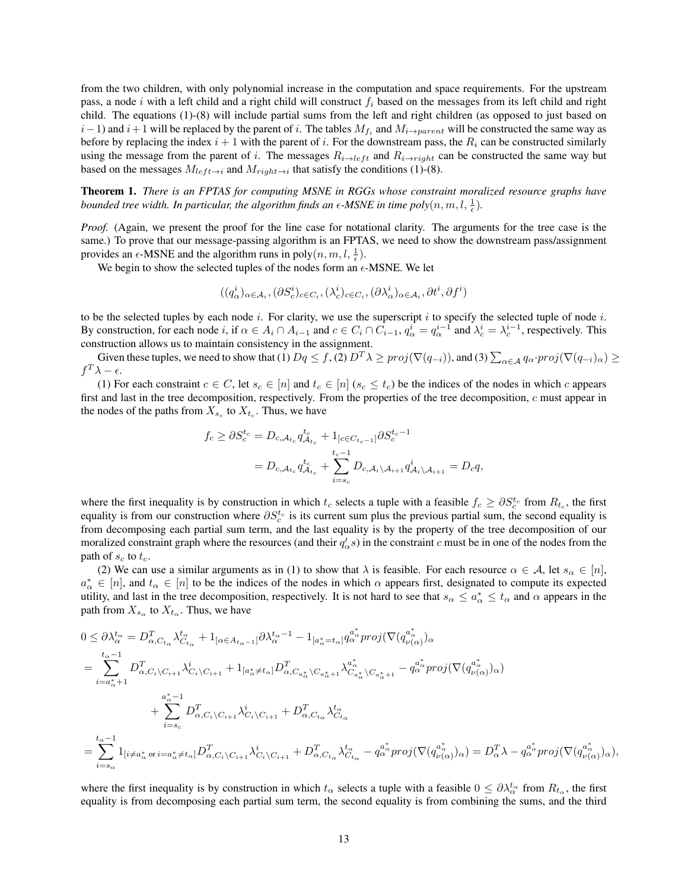from the two children, with only polynomial increase in the computation and space requirements. For the upstream pass, a node i with a left child and a right child will construct  $f_i$  based on the messages from its left child and right child. The equations (1)-(8) will include partial sums from the left and right children (as opposed to just based on  $i-1$ ) and  $i+1$  will be replaced by the parent of i. The tables  $M_{f_i}$  and  $M_{i\to parent}$  will be constructed the same way as before by replacing the index  $i + 1$  with the parent of i. For the downstream pass, the  $R_i$  can be constructed similarly using the message from the parent of i. The messages  $R_{i\to\nu}$  and  $R_{i\to\nu}$  right can be constructed the same way but based on the messages  $M_{left \rightarrow i}$  and  $M_{right \rightarrow i}$  that satisfy the conditions (1)-(8).

Theorem 1. *There is an FPTAS for computing MSNE in RGGs whose constraint moralized resource graphs have* bounded tree width. In particular, the algorithm finds an  $\epsilon$ -MSNE in time  $poly(n, m, l, \frac{1}{\epsilon})$ .

*Proof.* (Again, we present the proof for the line case for notational clarity. The arguments for the tree case is the same.) To prove that our message-passing algorithm is an FPTAS, we need to show the downstream pass/assignment provides an  $\epsilon$ -MSNE and the algorithm runs in poly $(n, m, l, \frac{1}{\epsilon})$ .

We begin to show the selected tuples of the nodes form an  $\epsilon$ -MSNE. We let

$$
((q^i_{\alpha})_{\alpha\in\mathcal{A}_i},(\partial S^i_c)_{c\in C_i},(\lambda^i_c)_{c\in C_i},(\partial \lambda^i_{\alpha})_{\alpha\in\mathcal{A}_i},\partial t^i,\partial f^i)
$$

to be the selected tuples by each node i. For clarity, we use the superscript i to specify the selected tuple of node i. By construction, for each node i, if  $\alpha \in A_i \cap A_{i-1}$  and  $c \in C_i \cap C_{i-1}$ ,  $q_\alpha^i = q_\alpha^{i-1}$  and  $\lambda_c^i = \lambda_c^{i-1}$ , respectively. This construction allows us to maintain consistency in the assignment.

Given these tuples, we need to show that (1)  $Dq \le f$ , (2)  $D^T\lambda \ge proj(\nabla(q_{-i}))$ , and (3)  $\sum_{\alpha \in A} q_\alpha proj(\nabla(q_{-i})_\alpha) \ge$  $f^T \lambda - \epsilon$ .

(1) For each constraint  $c \in C$ , let  $s_c \in [n]$  and  $t_c \in [n]$  ( $s_c \leq t_c$ ) be the indices of the nodes in which c appears first and last in the tree decomposition, respectively. From the properties of the tree decomposition, c must appear in the nodes of the paths from  $X_{s_c}$  to  $X_{t_c}$ . Thus, we have

$$
f_c \geq \partial S_c^{t_c} = D_{c,\mathcal{A}_{t_c}} q_{\mathcal{A}_{t_c}}^{t_c} + 1_{[c \in C_{t_c-1}]} \partial S_c^{t_c-1}
$$
  
= 
$$
D_{c,\mathcal{A}_{t_c}} q_{\mathcal{A}_{t_c}}^{t_c} + \sum_{i=s_c}^{t_c-1} D_{c,\mathcal{A}_i \setminus \mathcal{A}_{i+1}} q_{\mathcal{A}_i \setminus \mathcal{A}_{i+1}}^i = D_c q,
$$

where the first inequality is by construction in which  $t_c$  selects a tuple with a feasible  $f_c \geq \partial S_c^{t_c}$  from  $R_{t_c}$ , the first equality is from our construction where  $\partial S_c^{t_c}$  is its current sum plus the previous partial sum, the second equality is from decomposing each partial sum term, and the last equality is by the property of the tree decomposition of our moralized constraint graph where the resources (and their  $q'_\alpha s$ ) in the constraint c must be in one of the nodes from the path of  $s_c$  to  $t_c$ .

(2) We can use a similar arguments as in (1) to show that  $\lambda$  is feasible. For each resource  $\alpha \in A$ , let  $s_{\alpha} \in [n]$ ,  $a^*_{\alpha} \in [n]$ , and  $t_{\alpha} \in [n]$  to be the indices of the nodes in which  $\alpha$  appears first, designated to compute its expected utility, and last in the tree decomposition, respectively. It is not hard to see that  $s_\alpha \le a^*_\alpha \le t_\alpha$  and  $\alpha$  appears in the path from  $X_{s_\alpha}$  to  $X_{t_\alpha}$ . Thus, we have

$$
0 \leq \partial \lambda_{\alpha}^{t_{\alpha}} = D_{\alpha,C_{t_{\alpha}}}^{T} \lambda_{C_{t_{\alpha}}}^{t_{\alpha}} + 1_{[\alpha \in A_{t_{\alpha}-1}]} \partial \lambda_{\alpha}^{t_{\alpha}-1} - 1_{[a_{\alpha}^{*}=t_{\alpha}]} q_{\alpha}^{a_{\alpha}^{*}} proj(\nabla(q_{\nu(\alpha)}^{a_{\alpha}^{*}})_{\alpha})
$$
\n
$$
= \sum_{i=a_{\alpha}^{*}+1}^{t_{\alpha}-1} D_{\alpha,C_{i}}^{T} C_{i_{i+1}} \lambda_{C_{i}}^{i_{i}} C_{i_{i+1}} + 1_{[a_{\alpha}^{*}\neq t_{\alpha}]} D_{\alpha,C_{\alpha_{\alpha}}^{*}}^{T} C_{a_{\alpha}^{*}+1} \lambda_{C_{a_{\alpha}}^{*}}^{a_{\alpha}^{*}} C_{a_{\alpha}^{*}+1} - q_{\alpha}^{a_{\alpha}^{*}} proj(\nabla(q_{\nu(\alpha)}^{a_{\alpha}^{*}})_{\alpha})
$$
\n
$$
+ \sum_{i=s_{c}}^{a_{\alpha}^{*}-1} D_{\alpha,C_{i}}^{T} C_{i_{i+1}} \lambda_{C_{i}}^{i_{i}} C_{i_{i+1}} + D_{\alpha,C_{t_{\alpha}}}^{T} \lambda_{C_{i}}^{t_{\alpha}}
$$
\n
$$
= \sum_{i=s_{\alpha}}^{t_{\alpha}-1} 1_{[i\neq a_{\alpha}^{*} \text{ or } i=a_{\alpha}^{*}\neq t_{\alpha}]} D_{\alpha,C_{i}}^{T} C_{i_{i+1}} \lambda_{C_{i}}^{i_{i}} C_{i_{i+1}} + D_{\alpha,C_{t_{\alpha}}}^{T} \lambda_{C_{t_{\alpha}}}^{t_{\alpha}} - q_{\alpha}^{a_{\alpha}^{*}} proj(\nabla(q_{\nu(\alpha)}^{a_{\alpha}^{*}})_{\alpha}) = D_{\alpha}^{T} \lambda - q_{\alpha}^{a_{\alpha}^{*}} proj(\nabla(q_{\nu(\alpha)}^{a_{\alpha}^{*}})_{\alpha}),
$$

where the first inequality is by construction in which  $t_{\alpha}$  selects a tuple with a feasible  $0 \leq \partial \lambda_{\alpha}^{t_{\alpha}}$  from  $R_{t_{\alpha}}$ , the first equality is from decomposing each partial sum term, the second equality is from combining the sums, and the third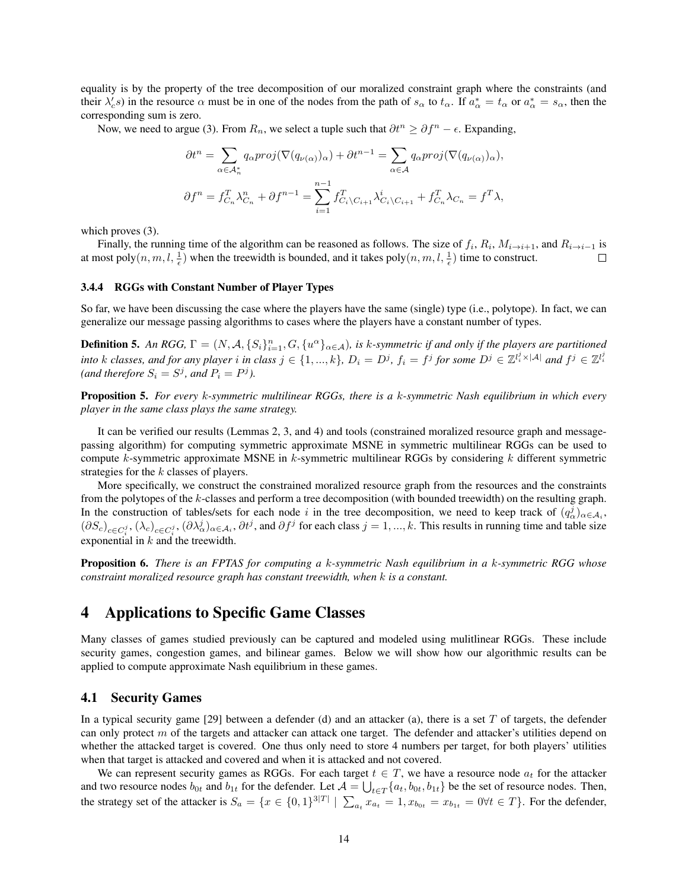equality is by the property of the tree decomposition of our moralized constraint graph where the constraints (and their  $\lambda_c$ s) in the resource  $\alpha$  must be in one of the nodes from the path of  $s_\alpha$  to  $t_\alpha$ . If  $a_\alpha^* = t_\alpha$  or  $a_\alpha^* = s_\alpha$ , then the corresponding sum is zero.

Now, we need to argue (3). From  $R_n$ , we select a tuple such that  $\partial t^n \geq \partial f^n - \epsilon$ . Expanding,

$$
\partial t^{n} = \sum_{\alpha \in A_{n}^{*}} q_{\alpha} \text{proj}(\nabla(q_{\nu(\alpha)})_{\alpha}) + \partial t^{n-1} = \sum_{\alpha \in \mathcal{A}} q_{\alpha} \text{proj}(\nabla(q_{\nu(\alpha)})_{\alpha}),
$$
  

$$
\partial f^{n} = f_{C_{n}}^{T} \lambda_{C_{n}}^{n} + \partial f^{n-1} = \sum_{i=1}^{n-1} f_{C_{i} \setminus C_{i+1}}^{T} \lambda_{C_{i} \setminus C_{i+1}}^{i} + f_{C_{n}}^{T} \lambda_{C_{n}} = f^{T} \lambda,
$$

which proves  $(3)$ .

Finally, the running time of the algorithm can be reasoned as follows. The size of  $f_i$ ,  $R_i$ ,  $M_{i\to i+1}$ , and  $R_{i\to i-1}$  is at most poly $(n, m, l, \frac{1}{\epsilon})$  when the treewidth is bounded, and it takes poly $(n, m, l, \frac{1}{\epsilon})$  time to construct.  $\Box$ 

#### 3.4.4 RGGs with Constant Number of Player Types

So far, we have been discussing the case where the players have the same (single) type (i.e., polytope). In fact, we can generalize our message passing algorithms to cases where the players have a constant number of types.

**Definition 5.** An RGG,  $\Gamma = (N, \mathcal{A}, \{S_i\}_{i=1}^n, G, \{u^\alpha\}_{\alpha \in \mathcal{A}})$ , is k-symmetric if and only if the players are partitioned *into* k classes, and for any player *i* in class  $j \in \{1, ..., k\}$ ,  $D_i = D^j$ ,  $f_i = f^j$  for some  $D^j \in \mathbb{Z}^{l_i^j \times |\mathcal{A}|}$  and  $f^j \in \mathbb{Z}^{l_i^j}$ (and therefore  $S_i = S^j$ , and  $P_i = P^j$ ).

Proposition 5. *For every* k*-symmetric multilinear RGGs, there is a* k*-symmetric Nash equilibrium in which every player in the same class plays the same strategy.*

It can be verified our results (Lemmas 2, 3, and 4) and tools (constrained moralized resource graph and messagepassing algorithm) for computing symmetric approximate MSNE in symmetric multilinear RGGs can be used to compute k-symmetric approximate MSNE in k-symmetric multilinear RGGs by considering k different symmetric strategies for the k classes of players.

More specifically, we construct the constrained moralized resource graph from the resources and the constraints from the polytopes of the k-classes and perform a tree decomposition (with bounded treewidth) on the resulting graph. In the construction of tables/sets for each node i in the tree decomposition, we need to keep track of  $(q^j_\alpha)_{\alpha \in A_i}$ ,  $(\partial S_c)_{c \in C_i^j}, (\lambda_c)_{c \in C_i^j}, (\partial \lambda_{\alpha}^j)_{\alpha \in A_i}, \partial t^j$ , and  $\partial f^j$  for each class  $j = 1, ..., k$ . This results in running time and table size exponential in  $k$  and the treewidth.

Proposition 6. *There is an FPTAS for computing a* k*-symmetric Nash equilibrium in a* k*-symmetric RGG whose constraint moralized resource graph has constant treewidth, when* k *is a constant.*

# 4 Applications to Specific Game Classes

Many classes of games studied previously can be captured and modeled using mulitlinear RGGs. These include security games, congestion games, and bilinear games. Below we will show how our algorithmic results can be applied to compute approximate Nash equilibrium in these games.

# 4.1 Security Games

In a typical security game [29] between a defender (d) and an attacker (a), there is a set  $T$  of targets, the defender can only protect  $m$  of the targets and attacker can attack one target. The defender and attacker's utilities depend on whether the attacked target is covered. One thus only need to store 4 numbers per target, for both players' utilities when that target is attacked and covered and when it is attacked and not covered.

We can represent security games as RGGs. For each target  $t \in T$ , we have a resource node  $a_t$  for the attacker and two resource nodes  $b_{0t}$  and  $b_{1t}$  for the defender. Let  $\mathcal{A} = \bigcup_{t \in T} \{a_t, b_{0t}, b_{1t}\}$  be the set of resource nodes. Then, the strategy set of the attacker is  $S_a = \{x \in \{0,1\}^{3|T|} \mid \sum_{a_t} x_{a_t} = 1, x_{b_{0t}} = x_{b_{1t}} = 0 \forall t \in T\}$ . For the defender,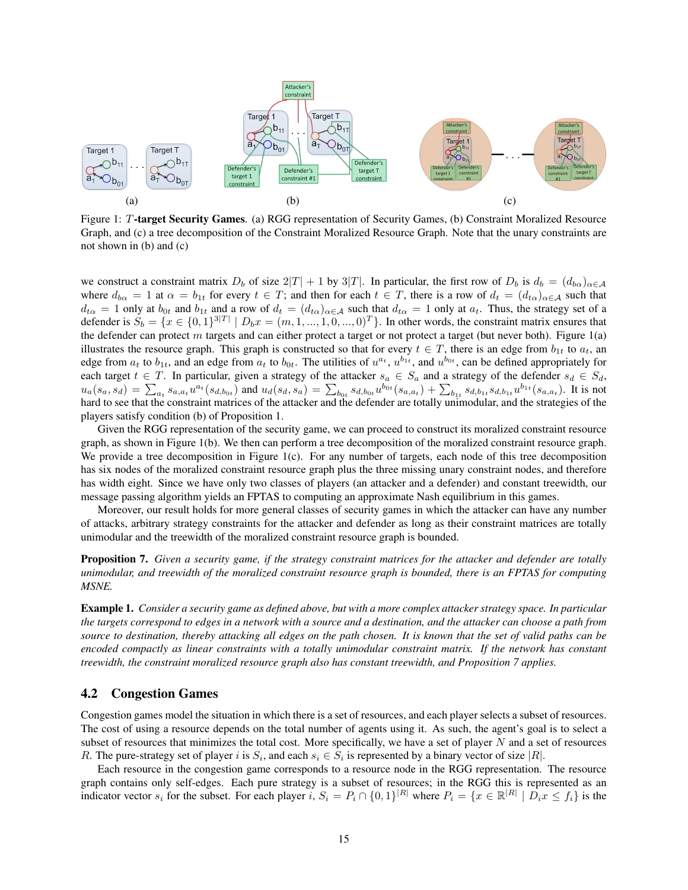

Figure 1: T-target Security Games. (a) RGG representation of Security Games, (b) Constraint Moralized Resource Graph, and (c) a tree decomposition of the Constraint Moralized Resource Graph. Note that the unary constraints are not shown in (b) and (c)

we construct a constraint matrix  $D_b$  of size  $2|T| + 1$  by  $3|T|$ . In particular, the first row of  $D_b$  is  $d_b = (d_{b\alpha})_{\alpha \in A}$ where  $d_{b\alpha} = 1$  at  $\alpha = b_{1t}$  for every  $t \in T$ ; and then for each  $t \in T$ , there is a row of  $d_t = (d_{t\alpha})_{\alpha \in A}$  such that  $d_{t\alpha} = 1$  only at  $b_{0t}$  and  $b_{1t}$  and a row of  $d_t = (d_{t\alpha})_{\alpha \in A}$  such that  $d_{t\alpha} = 1$  only at  $a_t$ . Thus, the strategy set of a defender is  $S_b = \{x \in \{0,1\}^{3|T|} \mid D_b x = (m, 1, ..., 1, 0, ..., 0)^T\}$ . In other words, the constraint matrix ensures that the defender can protect m targets and can either protect a target or not protect a target (but never both). Figure  $1(a)$ illustrates the resource graph. This graph is constructed so that for every  $t \in T$ , there is an edge from  $b_{1t}$  to  $a_t$ , an edge from  $a_t$  to  $b_{1t}$ , and an edge from  $a_t$  to  $b_{0t}$ . The utilities of  $u^{a_t}$ ,  $u^{b_{1t}}$ , and  $u^{b_{0t}}$ , can be defined appropriately for each target  $t \in T$ . In particular, given a strategy of the attacker  $s_a \in S_a$  and a strategy of the defender  $s_d \in S_d$ ,  $u_a(s_a, s_d) = \sum_{a_t} s_{a,a_t} u^{a_t}(s_{d,b_{0t}})$  and  $u_d(s_d, s_a) = \sum_{b_{0t}} s_{d,b_{0t}} u^{b_{0t}}(s_{a,a_t}) + \sum_{b_{1t}} s_{d,b_{1t}} s_{d,b_{1t}} u^{b_{1t}}(s_{a,a_t})$ . It is not hard to see that the constraint matrices of the attacker and the defender are totally unimodular, and the strategies of the players satisfy condition (b) of Proposition 1.

Given the RGG representation of the security game, we can proceed to construct its moralized constraint resource graph, as shown in Figure 1(b). We then can perform a tree decomposition of the moralized constraint resource graph. We provide a tree decomposition in Figure 1(c). For any number of targets, each node of this tree decomposition has six nodes of the moralized constraint resource graph plus the three missing unary constraint nodes, and therefore has width eight. Since we have only two classes of players (an attacker and a defender) and constant treewidth, our message passing algorithm yields an FPTAS to computing an approximate Nash equilibrium in this games.

Moreover, our result holds for more general classes of security games in which the attacker can have any number of attacks, arbitrary strategy constraints for the attacker and defender as long as their constraint matrices are totally unimodular and the treewidth of the moralized constraint resource graph is bounded.

Proposition 7. *Given a security game, if the strategy constraint matrices for the attacker and defender are totally unimodular, and treewidth of the moralized constraint resource graph is bounded, there is an FPTAS for computing MSNE.*

Example 1. *Consider a security game as defined above, but with a more complex attacker strategy space. In particular the targets correspond to edges in a network with a source and a destination, and the attacker can choose a path from source to destination, thereby attacking all edges on the path chosen. It is known that the set of valid paths can be encoded compactly as linear constraints with a totally unimodular constraint matrix. If the network has constant treewidth, the constraint moralized resource graph also has constant treewidth, and Proposition 7 applies.*

# 4.2 Congestion Games

Congestion games model the situation in which there is a set of resources, and each player selects a subset of resources. The cost of using a resource depends on the total number of agents using it. As such, the agent's goal is to select a subset of resources that minimizes the total cost. More specifically, we have a set of player  $N$  and a set of resources R. The pure-strategy set of player i is  $S_i$ , and each  $s_i \in S_i$  is represented by a binary vector of size |R|.

Each resource in the congestion game corresponds to a resource node in the RGG representation. The resource graph contains only self-edges. Each pure strategy is a subset of resources; in the RGG this is represented as an indicator vector  $s_i$  for the subset. For each player i,  $S_i = P_i \cap \{0,1\}^{|R|}$  where  $P_i = \{x \in \mathbb{R}^{|R|} \mid D_i x \leq f_i\}$  is the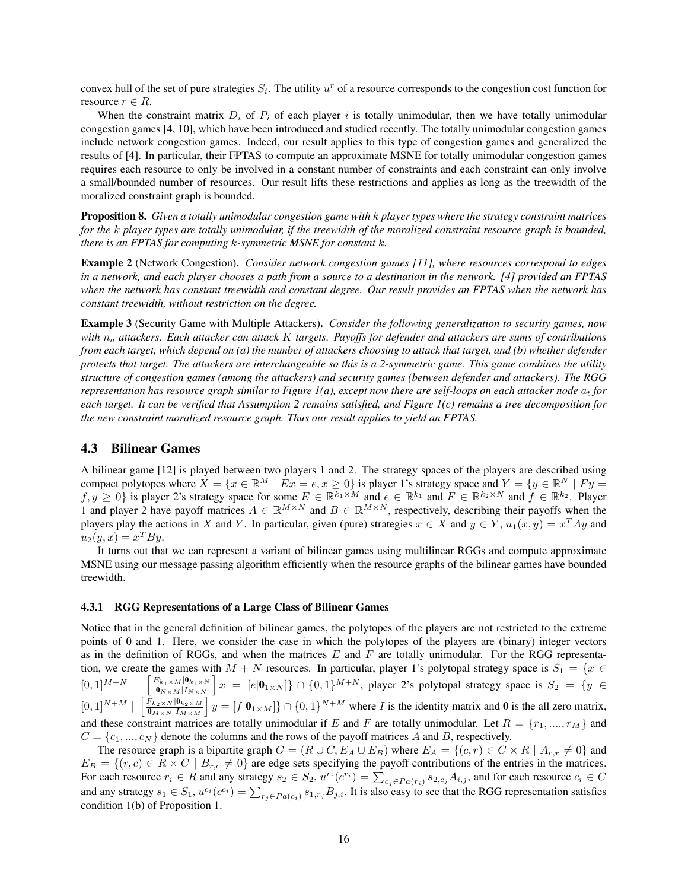convex hull of the set of pure strategies  $S_i$ . The utility  $u^r$  of a resource corresponds to the congestion cost function for resource  $r \in R$ .

When the constraint matrix  $D_i$  of  $P_i$  of each player i is totally unimodular, then we have totally unimodular congestion games [4, 10], which have been introduced and studied recently. The totally unimodular congestion games include network congestion games. Indeed, our result applies to this type of congestion games and generalized the results of [4]. In particular, their FPTAS to compute an approximate MSNE for totally unimodular congestion games requires each resource to only be involved in a constant number of constraints and each constraint can only involve a small/bounded number of resources. Our result lifts these restrictions and applies as long as the treewidth of the moralized constraint graph is bounded.

Proposition 8. *Given a totally unimodular congestion game with* k *player types where the strategy constraint matrices for the* k *player types are totally unimodular, if the treewidth of the moralized constraint resource graph is bounded, there is an FPTAS for computing* k*-symmetric MSNE for constant* k*.*

Example 2 (Network Congestion). *Consider network congestion games [11], where resources correspond to edges in a network, and each player chooses a path from a source to a destination in the network. [4] provided an FPTAS when the network has constant treewidth and constant degree. Our result provides an FPTAS when the network has constant treewidth, without restriction on the degree.*

Example 3 (Security Game with Multiple Attackers). *Consider the following generalization to security games, now with* n<sup>a</sup> *attackers. Each attacker can attack* K *targets. Payoffs for defender and attackers are sums of contributions from each target, which depend on (a) the number of attackers choosing to attack that target, and (b) whether defender protects that target. The attackers are interchangeable so this is a 2-symmetric game. This game combines the utility structure of congestion games (among the attackers) and security games (between defender and attackers). The RGG representation has resource graph similar to Figure 1(a), except now there are self-loops on each attacker node*  $a_t$  *for each target. It can be verified that Assumption 2 remains satisfied, and Figure 1(c) remains a tree decomposition for the new constraint moralized resource graph. Thus our result applies to yield an FPTAS.*

## 4.3 Bilinear Games

A bilinear game [12] is played between two players 1 and 2. The strategy spaces of the players are described using compact polytopes where  $X = \{x \in \mathbb{R}^M \mid Ex = e, x \ge 0\}$  is player 1's strategy space and  $Y = \{y \in \mathbb{R}^N \mid Fy = 0\}$  $f, y \ge 0$  is player 2's strategy space for some  $E \in \mathbb{R}^{k_1 \times M}$  and  $e \in \mathbb{R}^{k_1}$  and  $F \in \mathbb{R}^{k_2 \times N}$  and  $f \in \mathbb{R}^{k_2}$ . Player 1 and player 2 have payoff matrices  $A \in \mathbb{R}^{M \times N}$  and  $B \in \mathbb{R}^{M \times N}$ , respectively, describing their payoffs when the players play the actions in X and Y. In particular, given (pure) strategies  $x \in X$  and  $y \in Y$ ,  $u_1(x, y) = x^T A y$  and  $u_2(y,x) = x^T B y.$ 

It turns out that we can represent a variant of bilinear games using multilinear RGGs and compute approximate MSNE using our message passing algorithm efficiently when the resource graphs of the bilinear games have bounded treewidth.

#### 4.3.1 RGG Representations of a Large Class of Bilinear Games

Notice that in the general definition of bilinear games, the polytopes of the players are not restricted to the extreme points of 0 and 1. Here, we consider the case in which the polytopes of the players are (binary) integer vectors as in the definition of RGGs, and when the matrices  $E$  and  $F$  are totally unimodular. For the RGG representation, we create the games with  $M + N$  resources. In particular, player 1's polytopal strategy space is  $S_1 = \{x \in$  $[0, 1]^{M+N}$  $\left[\frac{E_{k_1\times M}|\mathbf{0}_{k_1\times N}}{\mathbf{0}_{N\times M}|I_{N\times N}}\right]x = [e|\mathbf{0}_{1\times N}]\}\cap \{0,1\}^{M+N}$ , player 2's polytopal strategy space is  $S_2 = \{y \in \mathbb{R}^N\}$  $[0,1]^{N+M}$   $\left[\frac{F_{k_2\times N}|\mathbf{0}_{k_2\times M}}{\mathbf{0}_{M\times N}|I_{M\times M}}\right]$   $y = [f|\mathbf{0}_{1\times M}]\}\cap \{0,1\}^{N+M}$  where *I* is the identity matrix and **0** is the all zero matrix, and these constraint matrices are totally unimodular if E and F are totally unimodular. Let  $R = \{r_1, ..., r_M\}$  and  $C = \{c_1, ..., c_N\}$  denote the columns and the rows of the payoff matrices A and B, respectively.

The resource graph is a bipartite graph  $G = (R \cup C, E_A \cup E_B)$  where  $E_A = \{(c, r) \in C \times R \mid A_{c,r} \neq 0\}$  and  $E_B = \{(r, c) \in R \times C \mid B_{r,c} \neq 0\}$  are edge sets specifying the payoff contributions of the entries in the matrices. For each resource  $r_i \in R$  and any strategy  $s_2 \in S_2$ ,  $u^{r_i}(c^{r_i}) = \sum_{c_j \in Pa(r_i)} s_{2,c_j} A_{i,j}$ , and for each resource  $c_i \in C$ and any strategy  $s_1 \in S_1$ ,  $u^{c_i}(c^{c_i}) = \sum_{r_j \in Pa(c_i)} s_{1,r_j} B_{j,i}$ . It is also easy to see that the RGG representation satisfies condition 1(b) of Proposition 1.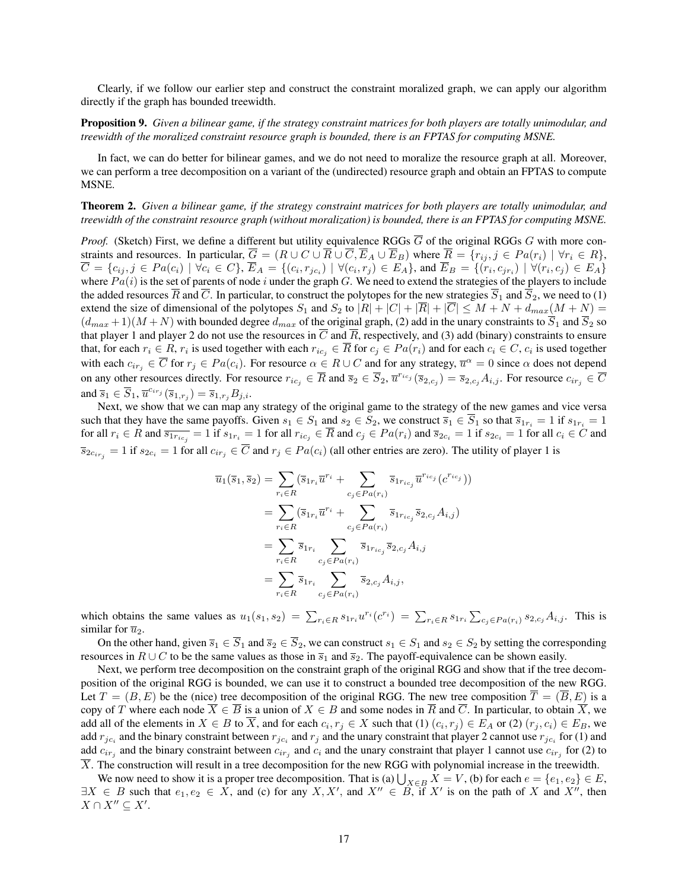Clearly, if we follow our earlier step and construct the constraint moralized graph, we can apply our algorithm directly if the graph has bounded treewidth.

# Proposition 9. *Given a bilinear game, if the strategy constraint matrices for both players are totally unimodular, and treewidth of the moralized constraint resource graph is bounded, there is an FPTAS for computing MSNE.*

In fact, we can do better for bilinear games, and we do not need to moralize the resource graph at all. Moreover, we can perform a tree decomposition on a variant of the (undirected) resource graph and obtain an FPTAS to compute MSNE.

# Theorem 2. *Given a bilinear game, if the strategy constraint matrices for both players are totally unimodular, and treewidth of the constraint resource graph (without moralization) is bounded, there is an FPTAS for computing MSNE.*

*Proof.* (Sketch) First, we define a different but utility equivalence RGGs  $\overline{G}$  of the original RGGs  $G$  with more constraints and resources. In particular,  $\overline{G} = (R \cup C \cup \overline{R} \cup \overline{C}, \overline{E}_A \cup \overline{E}_B)$  where  $\overline{R} = \{r_{ij}, j \in Pa(r_i) \mid \forall r_i \in R\}$ ,  $\overline{C} = \{c_{ij}, j \in Pa(c_i) \mid \forall c_i \in C\}, \overline{E}_A = \{(c_i, r_{jc_i}) \mid \forall (c_i, r_j) \in E_A\}, \text{ and } \overline{E}_B = \{(r_i, c_{jr_i}) \mid \forall (r_i, c_j) \in E_A\}$ where  $Pa(i)$  is the set of parents of node i under the graph G. We need to extend the strategies of the players to include the added resources  $\overline{R}$  and  $\overline{C}$ . In particular, to construct the polytopes for the new strategies  $\overline{S}_1$  and  $\overline{S}_2$ , we need to (1) extend the size of dimensional of the polytopes  $S_1$  and  $S_2$  to  $|R| + |C| + |\overline{R}| + |\overline{C}| \leq M + N + d_{max}(M + N) =$  $(d_{max} + 1)(M + N)$  with bounded degree  $d_{max}$  of the original graph, (2) add in the unary constraints to  $\overline{S}_1$  and  $\overline{S}_2$  so that player 1 and player 2 do not use the resources in  $\overline{C}$  and  $\overline{R}$ , respectively, and (3) add (binary) constraints to ensure that, for each  $r_i \in R$ ,  $r_i$  is used together with each  $r_{ic_j} \in \overline{R}$  for  $c_j \in Pa(r_i)$  and for each  $c_i \in C$ ,  $c_i$  is used together with each  $c_{ir_j} \in \overline{C}$  for  $r_j \in Pa(c_i)$ . For resource  $\alpha \in R \cup C$  and for any strategy,  $\overline{u}^{\alpha} = 0$  since  $\alpha$  does not depend on any other resources directly. For resource  $r_{ic_j} \in \overline{R}$  and  $\overline{s}_2 \in \overline{S}_2$ ,  $\overline{u}^{r_{ic_j}}(\overline{s}_{2,c_j}) = \overline{s}_{2,c_j} A_{i,j}$ . For resource  $c_{ir_j} \in \overline{C}$ and  $\overline{s}_1 \in \overline{S}_1$ ,  $\overline{u}^{c_{irj}}(\overline{s}_{1,r_j}) = \overline{s}_{1,r_j} B_{j,i}$ .

Next, we show that we can map any strategy of the original game to the strategy of the new games and vice versa such that they have the same payoffs. Given  $s_1 \in S_1$  and  $s_2 \in S_2$ , we construct  $\overline{s}_1 \in \overline{S}_1$  so that  $\overline{s}_{1r_i} = 1$  if  $s_{1r_i} = 1$ for all  $r_i \in R$  and  $\overline{s_{1r_{ic_j}}} = 1$  if  $s_{1r_i} = 1$  for all  $r_{ic_j} \in \overline{R}$  and  $c_j \in Pa(r_i)$  and  $\overline{s}_{2c_i} = 1$  if  $s_{2c_i} = 1$  for all  $c_i \in C$  and  $\overline{s}_{2c_{ir_j}} = 1$  if  $s_{2c_i} = 1$  for all  $c_{ir_j} \in C$  and  $r_j \in Pa(c_i)$  (all other entries are zero). The utility of player 1 is

$$
\overline{u}_{1}(\overline{s}_{1}, \overline{s}_{2}) = \sum_{r_{i} \in R} (\overline{s}_{1r_{i}} \overline{u}^{r_{i}} + \sum_{c_{j} \in Pa(r_{i})} \overline{s}_{1r_{ic_{j}}} \overline{u}^{r_{ic_{j}}}(c^{r_{ic_{j}}}))
$$
\n
$$
= \sum_{r_{i} \in R} (\overline{s}_{1r_{i}} \overline{u}^{r_{i}} + \sum_{c_{j} \in Pa(r_{i})} \overline{s}_{1r_{ic_{j}}} \overline{s}_{2,c_{j}} A_{i,j})
$$
\n
$$
= \sum_{r_{i} \in R} \overline{s}_{1r_{i}} \sum_{c_{j} \in Pa(r_{i})} \overline{s}_{1r_{ic_{j}}} \overline{s}_{2,c_{j}} A_{i,j}
$$
\n
$$
= \sum_{r_{i} \in R} \overline{s}_{1r_{i}} \sum_{c_{j} \in Pa(r_{i})} \overline{s}_{2,c_{j}} A_{i,j},
$$

which obtains the same values as  $u_1(s_1, s_2) = \sum_{r_i \in R} s_{1r_i} u^{r_i}(c^{r_i}) = \sum_{r_i \in R} s_{1r_i} \sum_{c_j \in Pa(r_i)} s_{2,c_j} A_{i,j}$ . This is similar for  $\overline{u}_2$ .

On the other hand, given  $\overline{s}_1 \in \overline{S}_1$  and  $\overline{s}_2 \in \overline{S}_2$ , we can construct  $s_1 \in S_1$  and  $s_2 \in S_2$  by setting the corresponding resources in  $R \cup C$  to be the same values as those in  $\overline{s}_1$  and  $\overline{s}_2$ . The payoff-equivalence can be shown easily.

Next, we perform tree decomposition on the constraint graph of the original RGG and show that if the tree decomposition of the original RGG is bounded, we can use it to construct a bounded tree decomposition of the new RGG. Let  $T = (B, E)$  be the (nice) tree decomposition of the original RGG. The new tree composition  $\overline{T} = (\overline{B}, E)$  is a copy of T where each node  $\overline{X} \in \overline{B}$  is a union of  $X \in B$  and some nodes in  $\overline{R}$  and  $\overline{C}$ . In particular, to obtain  $\overline{X}$ , we add all of the elements in  $X \in B$  to X, and for each  $c_i, r_j \in X$  such that  $(1)$   $(c_i, r_j) \in E_A$  or  $(2)$   $(r_j, c_i) \in E_B$ , we add  $r_{jc_i}$  and the binary constraint between  $r_{jc_i}$  and  $r_j$  and the unary constraint that player 2 cannot use  $r_{jc_i}$  for (1) and add  $c_{ir_j}$  and the binary constraint between  $c_{ir_j}$  and  $c_i$  and the unary constraint that player 1 cannot use  $c_{ir_j}$  for (2) to  $\overline{X}$ . The construction will result in a tree decomposition for the new RGG with polynomial increase in the treewidth.

We now need to show it is a proper tree decomposition. That is (a)  $\bigcup_{X\in B} X = V$ , (b) for each  $e = \{e_1, e_2\} \in E$ ,  $\exists X \in B$  such that  $e_1, e_2 \in X$ , and (c) for any  $X, X'$ , and  $X'' \in B$ , if  $X'$  is on the path of X and  $X''$ , then  $X \cap X'' \subseteq X'.$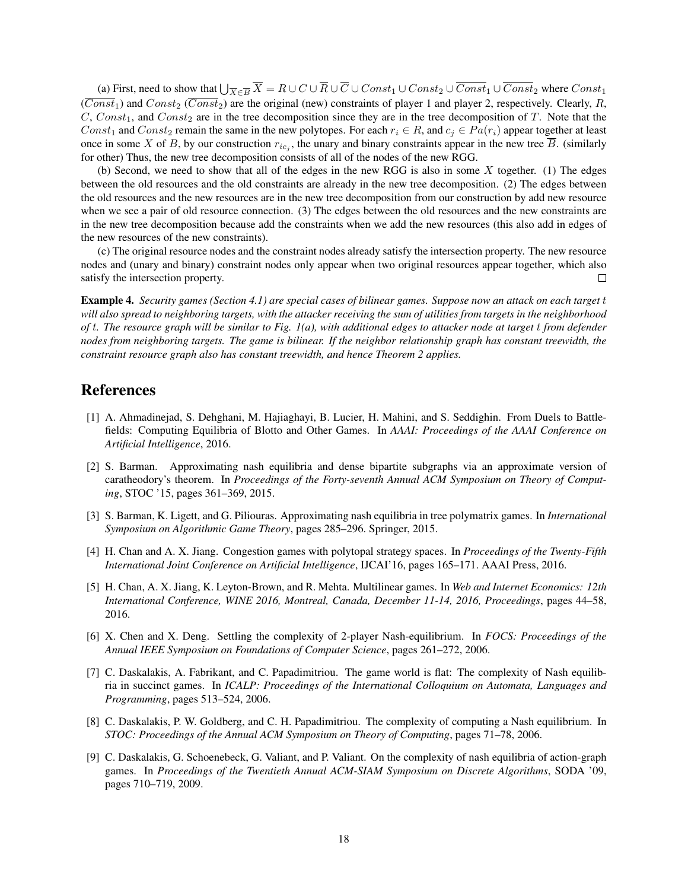(a) First, need to show that  $\bigcup_{\overline{X}\in\overline{B}}\overline{X}=R\cup C\cup\overline{R}\cup\overline{C}\cup Const_1\cup Const_2\cup\overline{Const}_1\cup\overline{Const}_2$  where  $Const_1$  $(\overline{Const}_1)$  and  $Const_2$  ( $\overline{Const}_2$ ) are the original (new) constraints of player 1 and player 2, respectively. Clearly, R,  $C$ ,  $Const<sub>1</sub>$ , and  $Const<sub>2</sub>$  are in the tree decomposition since they are in the tree decomposition of T. Note that the Const<sub>1</sub> and Const<sub>2</sub> remain the same in the new polytopes. For each  $r_i \in R$ , and  $c_i \in Pa(r_i)$  appear together at least once in some X of B, by our construction  $r_{ic_j}$ , the unary and binary constraints appear in the new tree B. (similarly for other) Thus, the new tree decomposition consists of all of the nodes of the new RGG.

(b) Second, we need to show that all of the edges in the new RGG is also in some X together. (1) The edges between the old resources and the old constraints are already in the new tree decomposition. (2) The edges between the old resources and the new resources are in the new tree decomposition from our construction by add new resource when we see a pair of old resource connection. (3) The edges between the old resources and the new constraints are in the new tree decomposition because add the constraints when we add the new resources (this also add in edges of the new resources of the new constraints).

(c) The original resource nodes and the constraint nodes already satisfy the intersection property. The new resource nodes and (unary and binary) constraint nodes only appear when two original resources appear together, which also satisfy the intersection property.  $\Box$ 

Example 4. *Security games (Section 4.1) are special cases of bilinear games. Suppose now an attack on each target* t *will also spread to neighboring targets, with the attacker receiving the sum of utilities from targets in the neighborhood of* t*. The resource graph will be similar to Fig. 1(a), with additional edges to attacker node at target* t *from defender nodes from neighboring targets. The game is bilinear. If the neighbor relationship graph has constant treewidth, the constraint resource graph also has constant treewidth, and hence Theorem 2 applies.*

# References

- [1] A. Ahmadinejad, S. Dehghani, M. Hajiaghayi, B. Lucier, H. Mahini, and S. Seddighin. From Duels to Battlefields: Computing Equilibria of Blotto and Other Games. In *AAAI: Proceedings of the AAAI Conference on Artificial Intelligence*, 2016.
- [2] S. Barman. Approximating nash equilibria and dense bipartite subgraphs via an approximate version of caratheodory's theorem. In *Proceedings of the Forty-seventh Annual ACM Symposium on Theory of Computing*, STOC '15, pages 361–369, 2015.
- [3] S. Barman, K. Ligett, and G. Piliouras. Approximating nash equilibria in tree polymatrix games. In *International Symposium on Algorithmic Game Theory*, pages 285–296. Springer, 2015.
- [4] H. Chan and A. X. Jiang. Congestion games with polytopal strategy spaces. In *Proceedings of the Twenty-Fifth International Joint Conference on Artificial Intelligence*, IJCAI'16, pages 165–171. AAAI Press, 2016.
- [5] H. Chan, A. X. Jiang, K. Leyton-Brown, and R. Mehta. Multilinear games. In *Web and Internet Economics: 12th International Conference, WINE 2016, Montreal, Canada, December 11-14, 2016, Proceedings*, pages 44–58, 2016.
- [6] X. Chen and X. Deng. Settling the complexity of 2-player Nash-equilibrium. In *FOCS: Proceedings of the Annual IEEE Symposium on Foundations of Computer Science*, pages 261–272, 2006.
- [7] C. Daskalakis, A. Fabrikant, and C. Papadimitriou. The game world is flat: The complexity of Nash equilibria in succinct games. In *ICALP: Proceedings of the International Colloquium on Automata, Languages and Programming*, pages 513–524, 2006.
- [8] C. Daskalakis, P. W. Goldberg, and C. H. Papadimitriou. The complexity of computing a Nash equilibrium. In *STOC: Proceedings of the Annual ACM Symposium on Theory of Computing*, pages 71–78, 2006.
- [9] C. Daskalakis, G. Schoenebeck, G. Valiant, and P. Valiant. On the complexity of nash equilibria of action-graph games. In *Proceedings of the Twentieth Annual ACM-SIAM Symposium on Discrete Algorithms*, SODA '09, pages 710–719, 2009.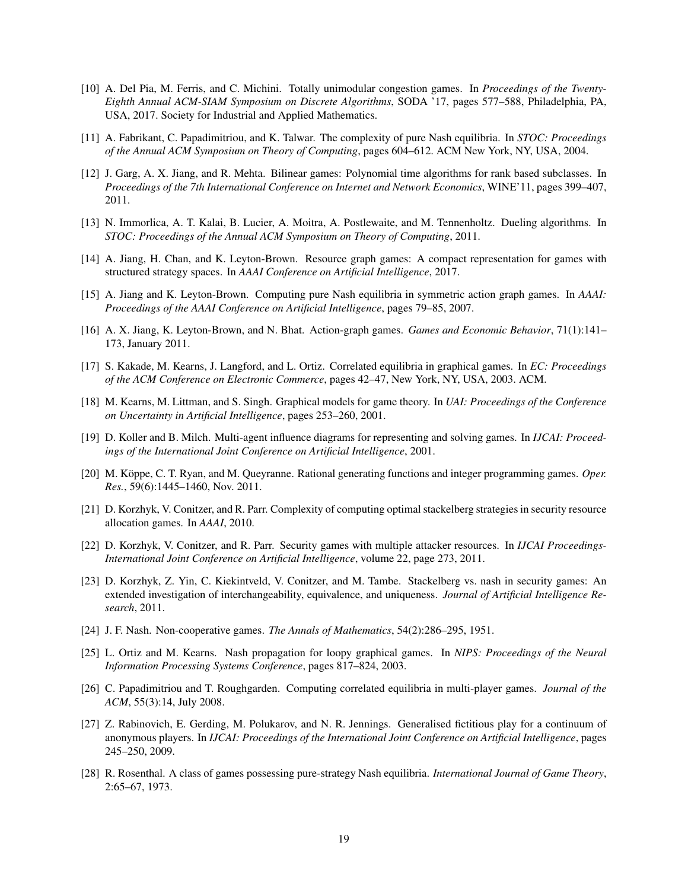- [10] A. Del Pia, M. Ferris, and C. Michini. Totally unimodular congestion games. In *Proceedings of the Twenty-Eighth Annual ACM-SIAM Symposium on Discrete Algorithms*, SODA '17, pages 577–588, Philadelphia, PA, USA, 2017. Society for Industrial and Applied Mathematics.
- [11] A. Fabrikant, C. Papadimitriou, and K. Talwar. The complexity of pure Nash equilibria. In *STOC: Proceedings of the Annual ACM Symposium on Theory of Computing*, pages 604–612. ACM New York, NY, USA, 2004.
- [12] J. Garg, A. X. Jiang, and R. Mehta. Bilinear games: Polynomial time algorithms for rank based subclasses. In *Proceedings of the 7th International Conference on Internet and Network Economics*, WINE'11, pages 399–407, 2011.
- [13] N. Immorlica, A. T. Kalai, B. Lucier, A. Moitra, A. Postlewaite, and M. Tennenholtz. Dueling algorithms. In *STOC: Proceedings of the Annual ACM Symposium on Theory of Computing*, 2011.
- [14] A. Jiang, H. Chan, and K. Leyton-Brown. Resource graph games: A compact representation for games with structured strategy spaces. In *AAAI Conference on Artificial Intelligence*, 2017.
- [15] A. Jiang and K. Leyton-Brown. Computing pure Nash equilibria in symmetric action graph games. In *AAAI: Proceedings of the AAAI Conference on Artificial Intelligence*, pages 79–85, 2007.
- [16] A. X. Jiang, K. Leyton-Brown, and N. Bhat. Action-graph games. *Games and Economic Behavior*, 71(1):141– 173, January 2011.
- [17] S. Kakade, M. Kearns, J. Langford, and L. Ortiz. Correlated equilibria in graphical games. In *EC: Proceedings of the ACM Conference on Electronic Commerce*, pages 42–47, New York, NY, USA, 2003. ACM.
- [18] M. Kearns, M. Littman, and S. Singh. Graphical models for game theory. In *UAI: Proceedings of the Conference on Uncertainty in Artificial Intelligence*, pages 253–260, 2001.
- [19] D. Koller and B. Milch. Multi-agent influence diagrams for representing and solving games. In *IJCAI: Proceedings of the International Joint Conference on Artificial Intelligence*, 2001.
- [20] M. Köppe, C. T. Ryan, and M. Queyranne. Rational generating functions and integer programming games. Oper. *Res.*, 59(6):1445–1460, Nov. 2011.
- [21] D. Korzhyk, V. Conitzer, and R. Parr. Complexity of computing optimal stackelberg strategies in security resource allocation games. In *AAAI*, 2010.
- [22] D. Korzhyk, V. Conitzer, and R. Parr. Security games with multiple attacker resources. In *IJCAI Proceedings-International Joint Conference on Artificial Intelligence*, volume 22, page 273, 2011.
- [23] D. Korzhyk, Z. Yin, C. Kiekintveld, V. Conitzer, and M. Tambe. Stackelberg vs. nash in security games: An extended investigation of interchangeability, equivalence, and uniqueness. *Journal of Artificial Intelligence Research*, 2011.
- [24] J. F. Nash. Non-cooperative games. *The Annals of Mathematics*, 54(2):286–295, 1951.
- [25] L. Ortiz and M. Kearns. Nash propagation for loopy graphical games. In *NIPS: Proceedings of the Neural Information Processing Systems Conference*, pages 817–824, 2003.
- [26] C. Papadimitriou and T. Roughgarden. Computing correlated equilibria in multi-player games. *Journal of the ACM*, 55(3):14, July 2008.
- [27] Z. Rabinovich, E. Gerding, M. Polukarov, and N. R. Jennings. Generalised fictitious play for a continuum of anonymous players. In *IJCAI: Proceedings of the International Joint Conference on Artificial Intelligence*, pages 245–250, 2009.
- [28] R. Rosenthal. A class of games possessing pure-strategy Nash equilibria. *International Journal of Game Theory*, 2:65–67, 1973.